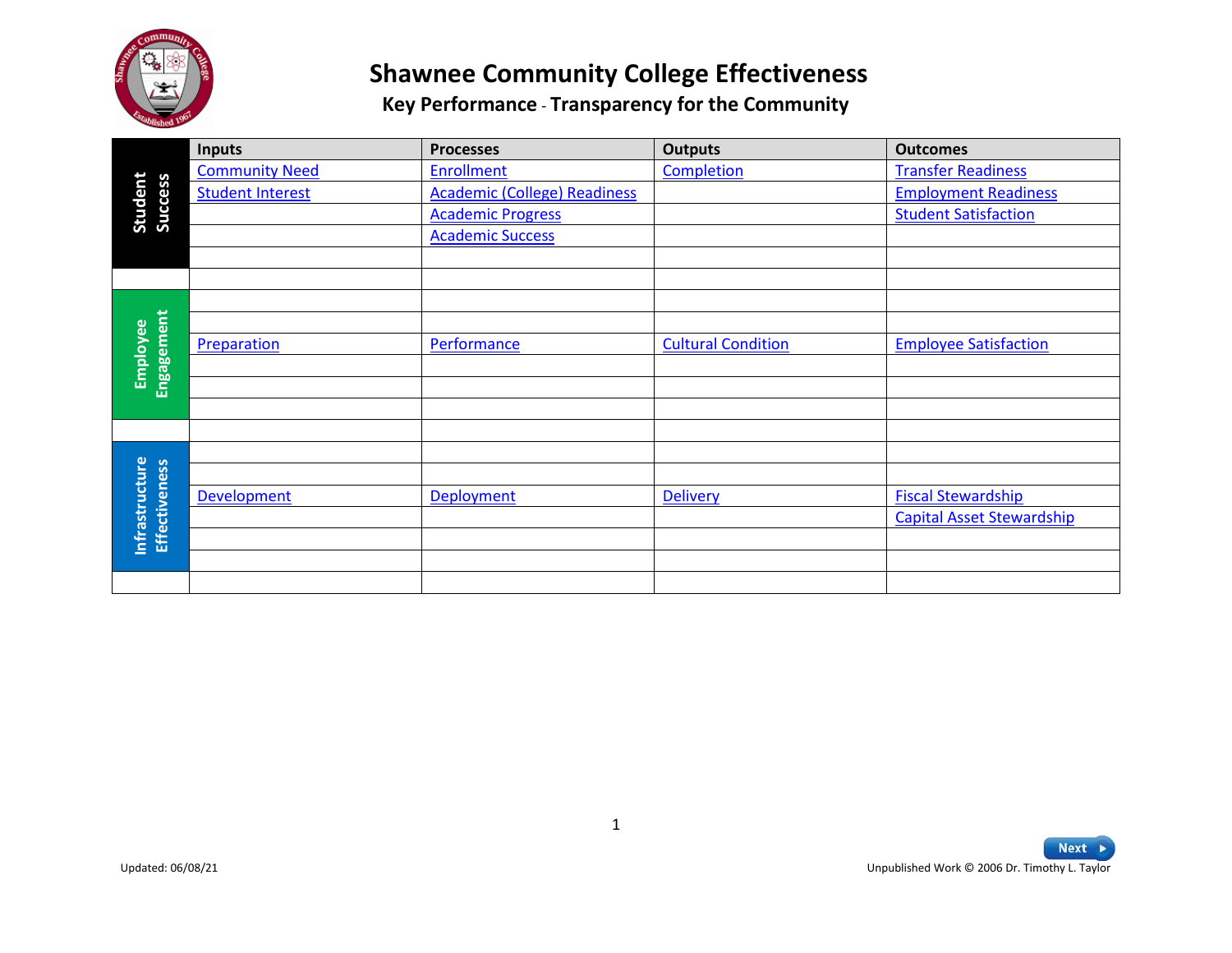

|                                        | Inputs                  | <b>Processes</b>                    | <b>Outputs</b>            | <b>Outcomes</b>                                       |
|----------------------------------------|-------------------------|-------------------------------------|---------------------------|-------------------------------------------------------|
|                                        | <b>Community Need</b>   | <b>Enrollment</b>                   | Completion                | <b>Transfer Readiness</b>                             |
| Student<br>Success                     | <b>Student Interest</b> | <b>Academic (College) Readiness</b> |                           | <b>Employment Readiness</b>                           |
|                                        |                         | <b>Academic Progress</b>            |                           | <b>Student Satisfaction</b>                           |
|                                        |                         | <b>Academic Success</b>             |                           |                                                       |
|                                        |                         |                                     |                           |                                                       |
|                                        |                         |                                     |                           |                                                       |
|                                        |                         |                                     |                           |                                                       |
|                                        |                         |                                     |                           |                                                       |
|                                        | Preparation             | Performance                         | <b>Cultural Condition</b> | <b>Employee Satisfaction</b>                          |
| Engagement<br>Employee                 |                         |                                     |                           |                                                       |
|                                        |                         |                                     |                           |                                                       |
|                                        |                         |                                     |                           |                                                       |
|                                        |                         |                                     |                           |                                                       |
|                                        |                         |                                     |                           |                                                       |
|                                        |                         |                                     |                           |                                                       |
|                                        | Development             | Deployment                          | Delivery                  | <b>Fiscal Stewardship</b>                             |
| Infrastructure<br><b>Effectiveness</b> |                         |                                     |                           | <b>Capital Asset Stewardship</b>                      |
|                                        |                         |                                     |                           |                                                       |
|                                        |                         |                                     |                           |                                                       |
|                                        |                         |                                     |                           |                                                       |
|                                        |                         |                                     |                           |                                                       |
|                                        |                         |                                     |                           |                                                       |
|                                        |                         |                                     |                           |                                                       |
|                                        |                         |                                     |                           |                                                       |
|                                        |                         |                                     |                           |                                                       |
|                                        |                         |                                     |                           |                                                       |
|                                        |                         |                                     |                           |                                                       |
|                                        |                         |                                     |                           |                                                       |
|                                        |                         |                                     |                           |                                                       |
|                                        |                         |                                     |                           |                                                       |
|                                        |                         | $\mathbf{1}$                        |                           |                                                       |
| Updated: 06/08/21                      |                         |                                     |                           | Next<br>Unpublished Work © 2006 Dr. Timothy L. Taylor |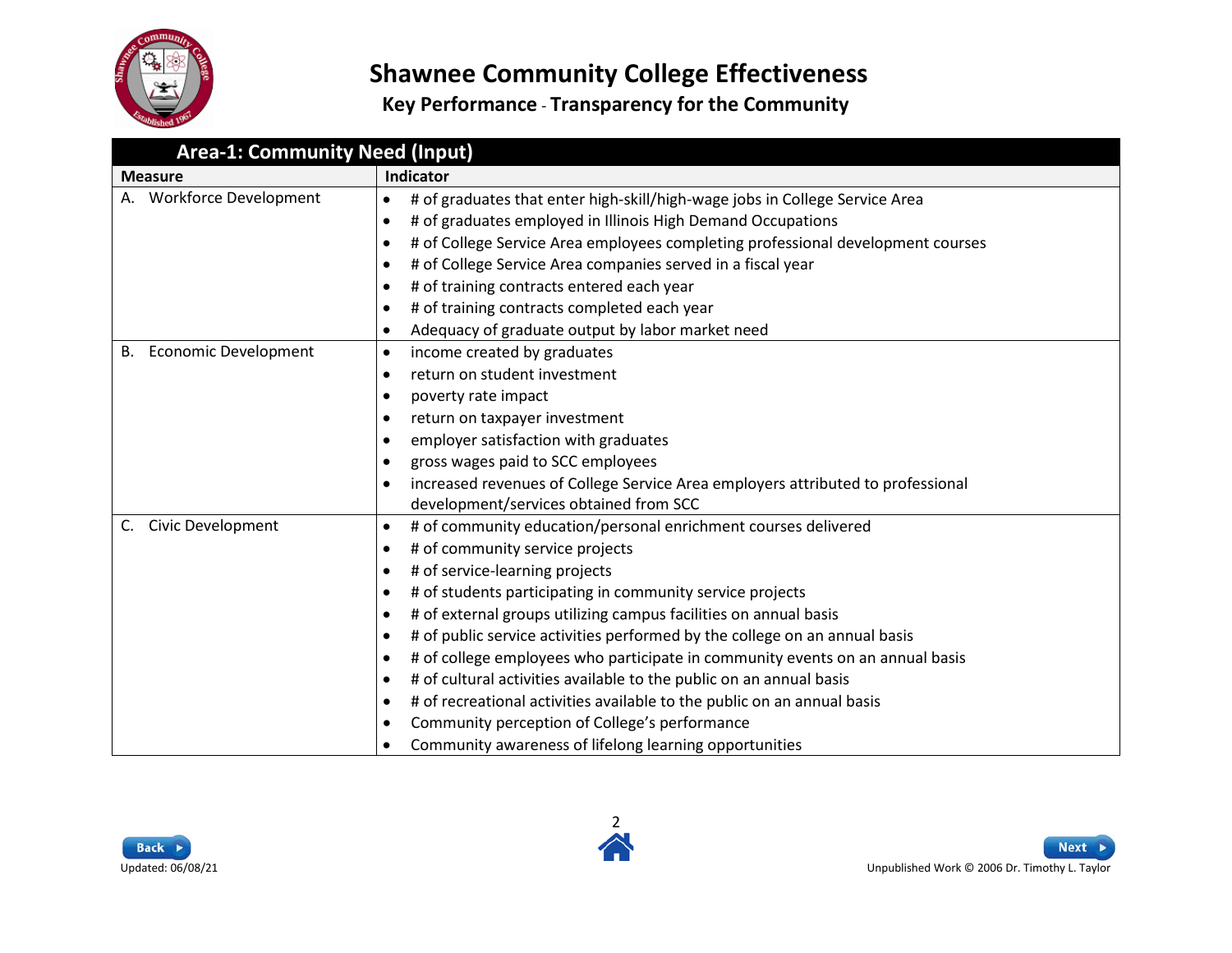

<span id="page-1-0"></span>

| <b>Area-1: Community Need (Input)</b> |                                                                                              |  |
|---------------------------------------|----------------------------------------------------------------------------------------------|--|
| <b>Measure</b>                        | Indicator                                                                                    |  |
| A. Workforce Development              | # of graduates that enter high-skill/high-wage jobs in College Service Area<br>$\bullet$     |  |
|                                       | # of graduates employed in Illinois High Demand Occupations<br>$\bullet$                     |  |
|                                       | # of College Service Area employees completing professional development courses<br>٠         |  |
|                                       | # of College Service Area companies served in a fiscal year<br>$\bullet$                     |  |
|                                       | # of training contracts entered each year<br>$\bullet$                                       |  |
|                                       | # of training contracts completed each year<br>$\bullet$                                     |  |
|                                       | Adequacy of graduate output by labor market need<br>$\bullet$                                |  |
| <b>Economic Development</b><br>В.     | income created by graduates<br>$\bullet$                                                     |  |
|                                       | return on student investment<br>$\bullet$                                                    |  |
|                                       | poverty rate impact<br>$\bullet$                                                             |  |
|                                       | return on taxpayer investment<br>٠                                                           |  |
|                                       | employer satisfaction with graduates<br>$\bullet$                                            |  |
|                                       | gross wages paid to SCC employees<br>$\bullet$                                               |  |
|                                       | increased revenues of College Service Area employers attributed to professional<br>$\bullet$ |  |
|                                       | development/services obtained from SCC                                                       |  |
| <b>Civic Development</b><br>C.        | # of community education/personal enrichment courses delivered<br>$\bullet$                  |  |
|                                       | # of community service projects<br>$\bullet$                                                 |  |
|                                       | # of service-learning projects<br>$\bullet$                                                  |  |
|                                       | # of students participating in community service projects<br>$\bullet$                       |  |
|                                       | # of external groups utilizing campus facilities on annual basis<br>٠                        |  |
|                                       | # of public service activities performed by the college on an annual basis<br>$\bullet$      |  |
|                                       | # of college employees who participate in community events on an annual basis<br>$\bullet$   |  |
|                                       | # of cultural activities available to the public on an annual basis<br>$\bullet$             |  |
|                                       | # of recreational activities available to the public on an annual basis<br>$\bullet$         |  |
|                                       | Community perception of College's performance<br>$\bullet$                                   |  |
|                                       | Community awareness of lifelong learning opportunities<br>$\bullet$                          |  |



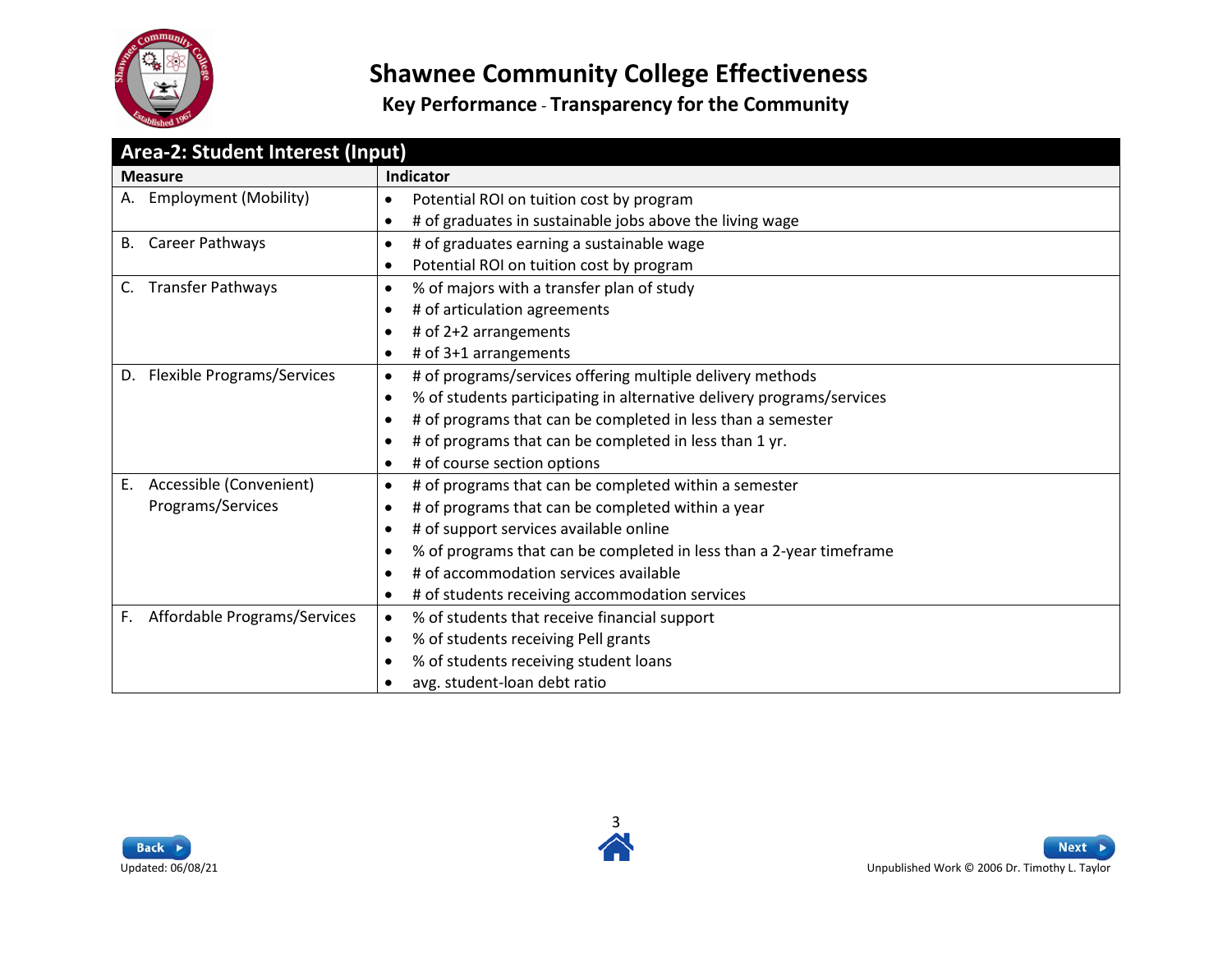

<span id="page-2-0"></span>

| Area-2: Student Interest (Input)        |                                                                                    |  |
|-----------------------------------------|------------------------------------------------------------------------------------|--|
| <b>Measure</b>                          | Indicator                                                                          |  |
| <b>Employment (Mobility)</b><br>А.      | Potential ROI on tuition cost by program<br>$\bullet$                              |  |
|                                         | # of graduates in sustainable jobs above the living wage<br>$\bullet$              |  |
| Career Pathways<br>В.                   | # of graduates earning a sustainable wage<br>$\bullet$                             |  |
|                                         | Potential ROI on tuition cost by program<br>$\bullet$                              |  |
| <b>Transfer Pathways</b><br>C.          | % of majors with a transfer plan of study<br>$\bullet$                             |  |
|                                         | # of articulation agreements<br>$\bullet$                                          |  |
|                                         | # of 2+2 arrangements<br>$\bullet$                                                 |  |
|                                         | # of 3+1 arrangements<br>٠                                                         |  |
| <b>Flexible Programs/Services</b><br>D. | # of programs/services offering multiple delivery methods<br>$\bullet$             |  |
|                                         | % of students participating in alternative delivery programs/services<br>$\bullet$ |  |
|                                         | # of programs that can be completed in less than a semester<br>$\bullet$           |  |
|                                         | # of programs that can be completed in less than 1 yr.<br>$\bullet$                |  |
|                                         | # of course section options<br>$\bullet$                                           |  |
| Accessible (Convenient)<br>E.           | # of programs that can be completed within a semester<br>$\bullet$                 |  |
| Programs/Services                       | # of programs that can be completed within a year<br>٠                             |  |
|                                         | # of support services available online<br>$\bullet$                                |  |
|                                         | % of programs that can be completed in less than a 2-year timeframe<br>$\bullet$   |  |
|                                         | # of accommodation services available<br>$\bullet$                                 |  |
|                                         | # of students receiving accommodation services<br>$\bullet$                        |  |
| Affordable Programs/Services<br>F.      | % of students that receive financial support<br>$\bullet$                          |  |
|                                         | % of students receiving Pell grants<br>$\bullet$                                   |  |
|                                         | % of students receiving student loans<br>$\bullet$                                 |  |
|                                         | avg. student-loan debt ratio<br>٠                                                  |  |





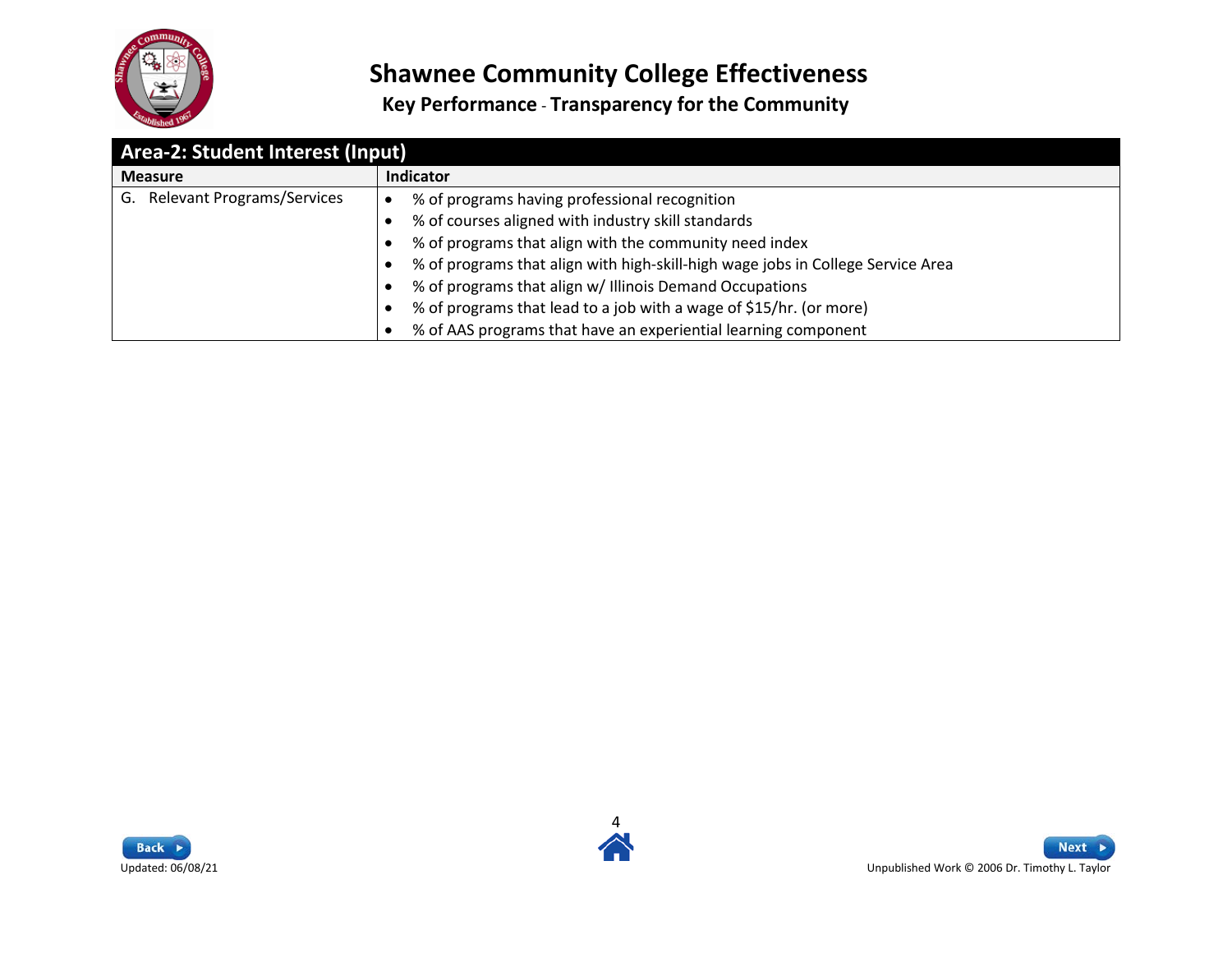

| Area-2: Student Interest (Input)        |                                                                                 |  |
|-----------------------------------------|---------------------------------------------------------------------------------|--|
| <b>Measure</b>                          | <b>Indicator</b>                                                                |  |
| <b>Relevant Programs/Services</b><br>G. | % of programs having professional recognition                                   |  |
|                                         | % of courses aligned with industry skill standards                              |  |
|                                         | % of programs that align with the community need index                          |  |
|                                         | % of programs that align with high-skill-high wage jobs in College Service Area |  |
|                                         | % of programs that align w/ Illinois Demand Occupations                         |  |
|                                         | % of programs that lead to a job with a wage of \$15/hr. (or more)              |  |
|                                         | % of AAS programs that have an experiential learning component                  |  |



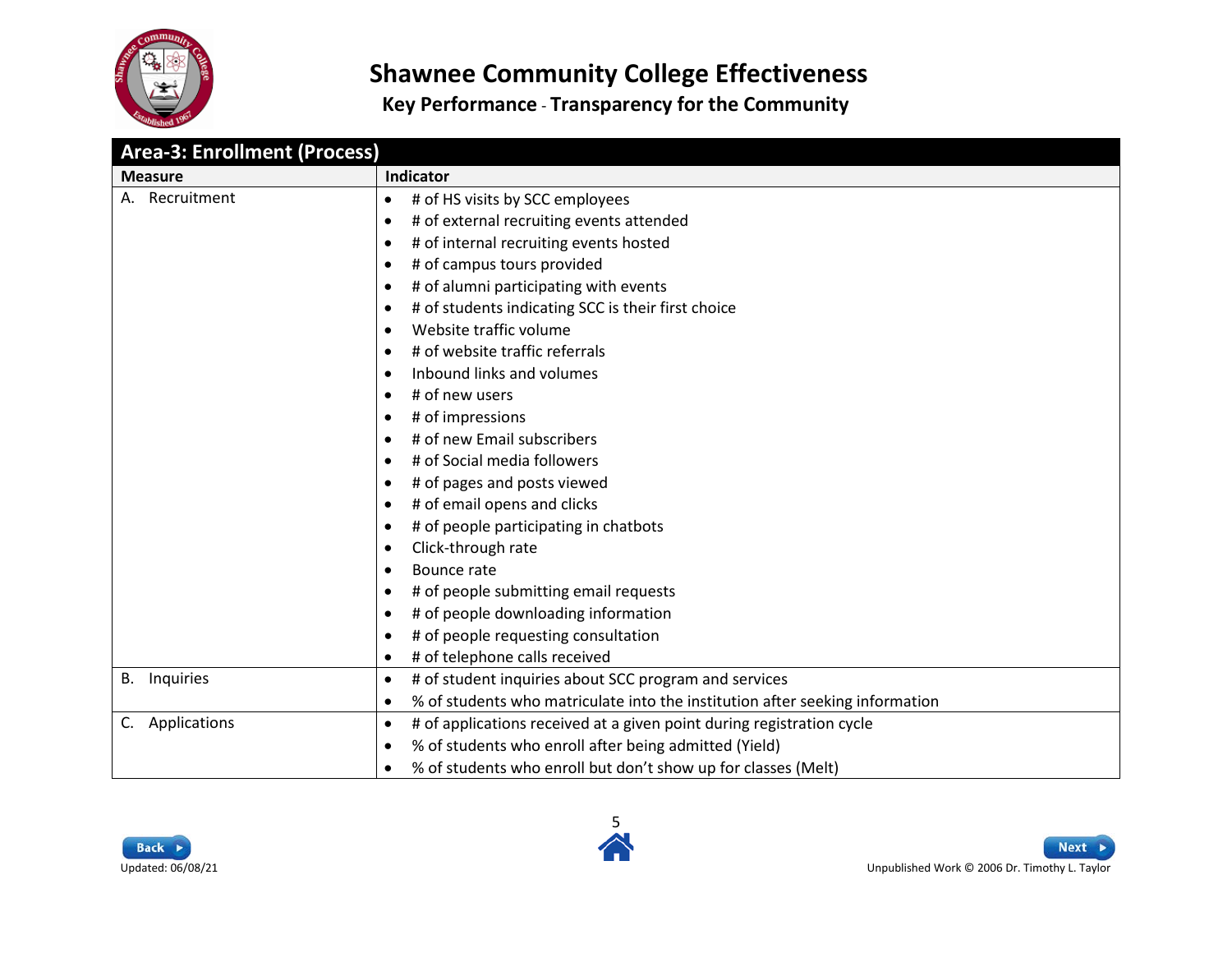

**Key Performance** - **Transparency for the Community**

<span id="page-4-0"></span>

| <b>Area-3: Enrollment (Process)</b> |                                                                                           |  |
|-------------------------------------|-------------------------------------------------------------------------------------------|--|
| <b>Measure</b>                      | Indicator                                                                                 |  |
| A. Recruitment                      | # of HS visits by SCC employees<br>$\bullet$                                              |  |
|                                     | # of external recruiting events attended<br>$\bullet$                                     |  |
|                                     | # of internal recruiting events hosted<br>$\bullet$                                       |  |
|                                     | # of campus tours provided<br>٠                                                           |  |
|                                     | # of alumni participating with events<br>$\bullet$                                        |  |
|                                     | # of students indicating SCC is their first choice<br>$\bullet$                           |  |
|                                     | Website traffic volume<br>$\bullet$                                                       |  |
|                                     | # of website traffic referrals<br>$\bullet$                                               |  |
|                                     | Inbound links and volumes<br>$\bullet$                                                    |  |
|                                     | # of new users<br>$\bullet$                                                               |  |
|                                     | # of impressions<br>$\bullet$                                                             |  |
|                                     | # of new Email subscribers<br>$\bullet$                                                   |  |
|                                     | # of Social media followers<br>$\bullet$                                                  |  |
|                                     | # of pages and posts viewed<br>$\bullet$                                                  |  |
|                                     | # of email opens and clicks<br>$\bullet$                                                  |  |
|                                     | # of people participating in chatbots<br>$\bullet$                                        |  |
|                                     | Click-through rate<br>$\bullet$                                                           |  |
|                                     | Bounce rate<br>$\bullet$                                                                  |  |
|                                     | # of people submitting email requests<br>$\bullet$                                        |  |
|                                     | # of people downloading information<br>$\bullet$                                          |  |
|                                     | # of people requesting consultation<br>$\bullet$                                          |  |
|                                     | # of telephone calls received<br>$\bullet$                                                |  |
| <b>B.</b> Inquiries                 | # of student inquiries about SCC program and services<br>٠                                |  |
|                                     | % of students who matriculate into the institution after seeking information<br>$\bullet$ |  |
| C. Applications                     | # of applications received at a given point during registration cycle<br>$\bullet$        |  |
|                                     | % of students who enroll after being admitted (Yield)<br>$\bullet$                        |  |
|                                     | % of students who enroll but don't show up for classes (Melt)<br>$\bullet$                |  |

5



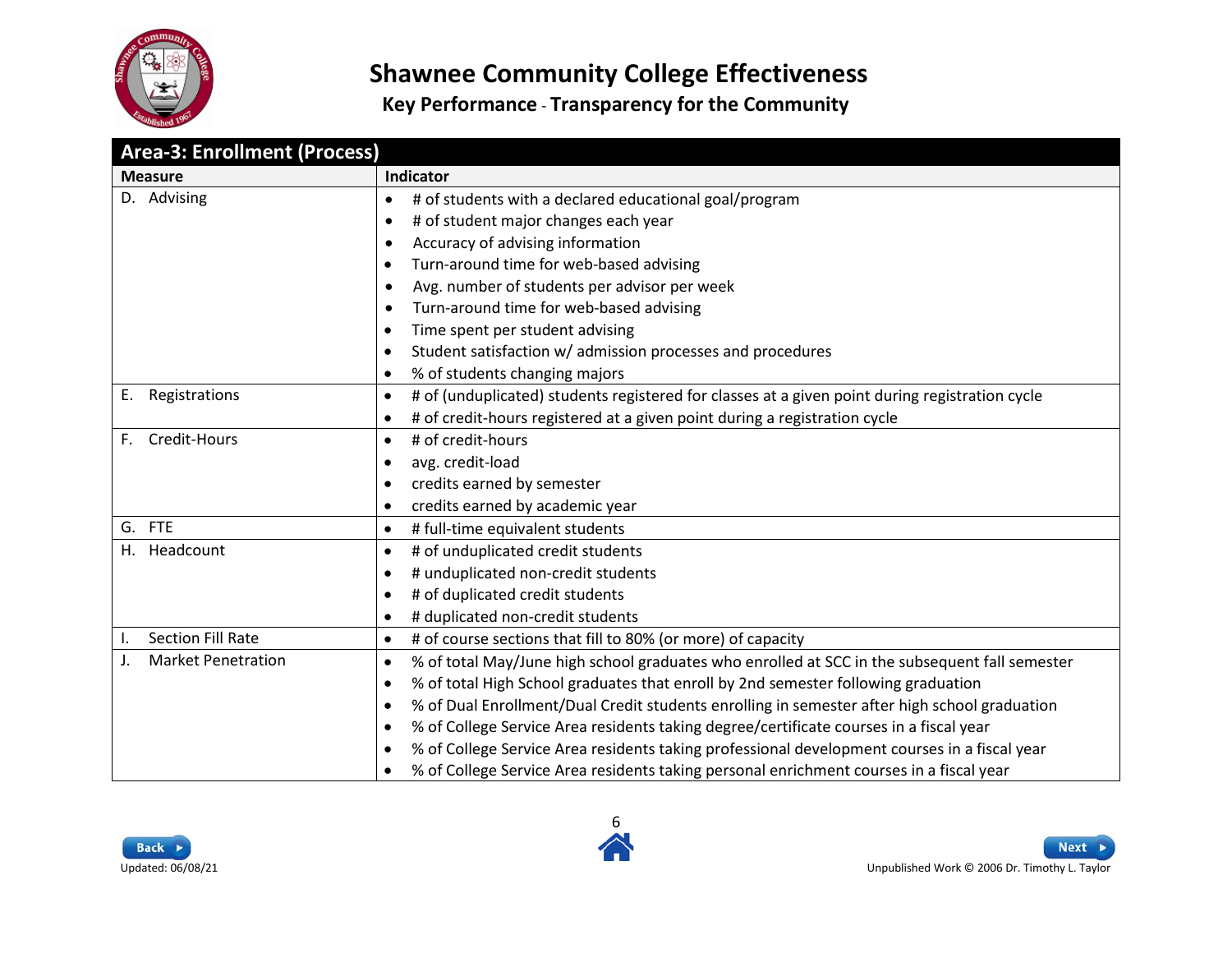

| <b>Area-3: Enrollment (Process)</b>         |                                                                                                            |
|---------------------------------------------|------------------------------------------------------------------------------------------------------------|
| <b>Measure</b>                              | Indicator                                                                                                  |
| D. Advising                                 | # of students with a declared educational goal/program<br>$\bullet$                                        |
|                                             | # of student major changes each year<br>$\bullet$                                                          |
|                                             | Accuracy of advising information<br>$\bullet$                                                              |
|                                             | Turn-around time for web-based advising<br>$\bullet$                                                       |
|                                             | Avg. number of students per advisor per week<br>$\bullet$                                                  |
|                                             | Turn-around time for web-based advising<br>$\bullet$                                                       |
|                                             | Time spent per student advising<br>$\bullet$                                                               |
|                                             | Student satisfaction w/ admission processes and procedures<br>$\bullet$                                    |
|                                             | % of students changing majors<br>$\bullet$                                                                 |
| E. Registrations                            | # of (unduplicated) students registered for classes at a given point during registration cycle<br>٠        |
|                                             | # of credit-hours registered at a given point during a registration cycle<br>$\bullet$                     |
| Credit-Hours<br>F.                          | # of credit-hours<br>$\bullet$                                                                             |
|                                             | avg. credit-load<br>$\bullet$                                                                              |
|                                             | credits earned by semester<br>$\bullet$                                                                    |
|                                             | credits earned by academic year<br>$\bullet$                                                               |
| G. FTE                                      | # full-time equivalent students<br>$\bullet$                                                               |
| Headcount<br>H.                             | # of unduplicated credit students<br>$\bullet$                                                             |
|                                             | # unduplicated non-credit students<br>$\bullet$                                                            |
|                                             | # of duplicated credit students<br>$\bullet$                                                               |
|                                             | # duplicated non-credit students<br>$\bullet$                                                              |
| <b>Section Fill Rate</b><br>Ι.              | # of course sections that fill to 80% (or more) of capacity<br>$\bullet$                                   |
| <b>Market Penetration</b><br>$\mathsf{J}$ . | % of total May/June high school graduates who enrolled at SCC in the subsequent fall semester<br>$\bullet$ |
|                                             | % of total High School graduates that enroll by 2nd semester following graduation<br>$\bullet$             |
|                                             | % of Dual Enrollment/Dual Credit students enrolling in semester after high school graduation<br>$\bullet$  |
|                                             | % of College Service Area residents taking degree/certificate courses in a fiscal year<br>$\bullet$        |
|                                             | % of College Service Area residents taking professional development courses in a fiscal year<br>$\bullet$  |
|                                             | % of College Service Area residents taking personal enrichment courses in a fiscal year<br>$\bullet$       |



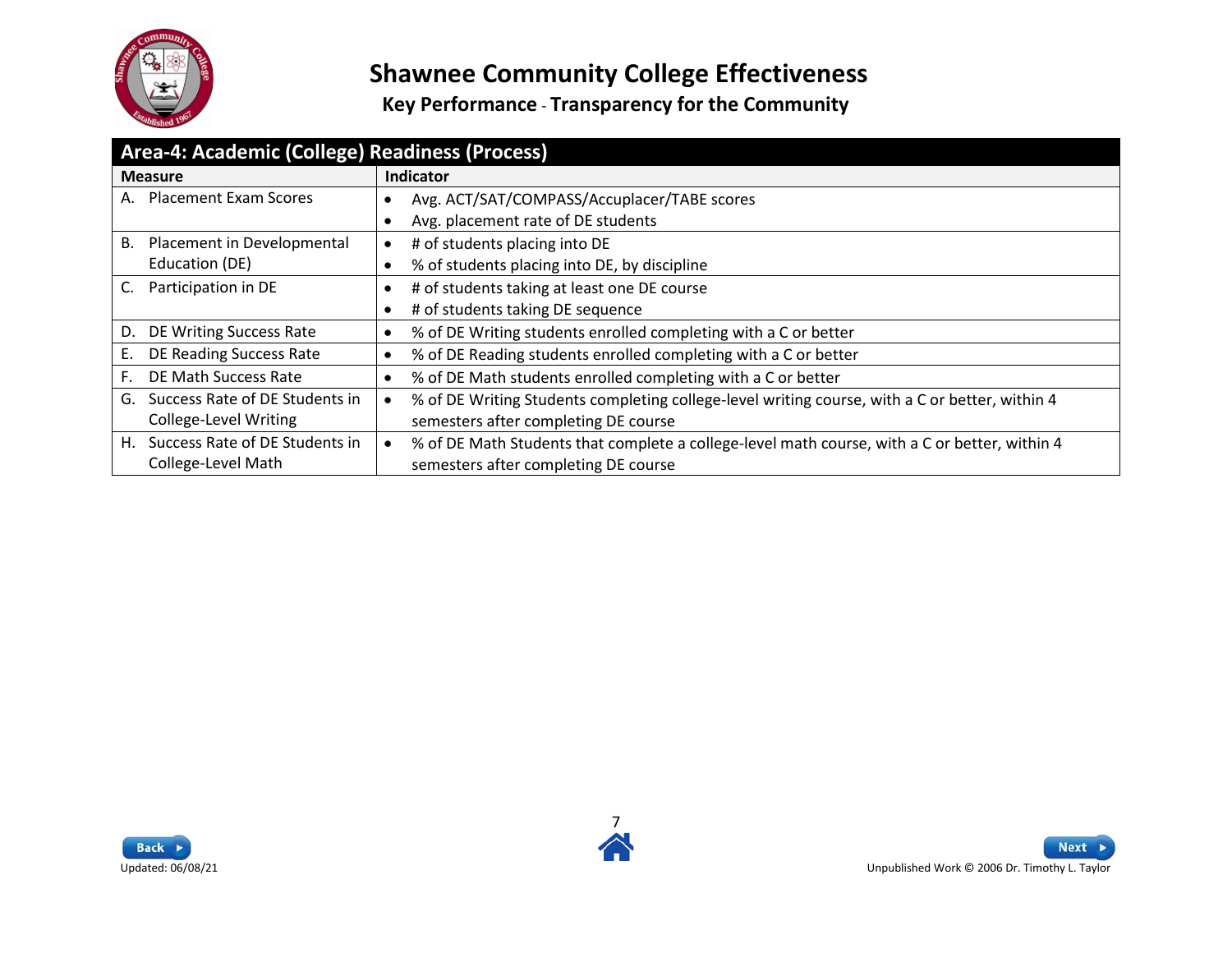

<span id="page-6-0"></span>

| Area-4: Academic (College) Readiness (Process) |                                                                                                            |  |
|------------------------------------------------|------------------------------------------------------------------------------------------------------------|--|
| <b>Measure</b>                                 | Indicator                                                                                                  |  |
| <b>Placement Exam Scores</b><br>А.             | Avg. ACT/SAT/COMPASS/Accuplacer/TABE scores                                                                |  |
|                                                | Avg. placement rate of DE students                                                                         |  |
| Placement in Developmental<br>В.               | # of students placing into DE<br>٠                                                                         |  |
| Education (DE)                                 | % of students placing into DE, by discipline                                                               |  |
| Participation in DE                            | # of students taking at least one DE course                                                                |  |
|                                                | # of students taking DE sequence                                                                           |  |
| DE Writing Success Rate<br>D.                  | % of DE Writing students enrolled completing with a C or better<br>٠                                       |  |
| DE Reading Success Rate<br>Е.                  | % of DE Reading students enrolled completing with a C or better                                            |  |
| DE Math Success Rate<br>F.                     | % of DE Math students enrolled completing with a C or better                                               |  |
| Success Rate of DE Students in<br>G.           | % of DE Writing Students completing college-level writing course, with a C or better, within 4             |  |
| <b>College-Level Writing</b>                   | semesters after completing DE course                                                                       |  |
| Success Rate of DE Students in<br>Η.           | % of DE Math Students that complete a college-level math course, with a C or better, within 4<br>$\bullet$ |  |
| College-Level Math                             | semesters after completing DE course                                                                       |  |



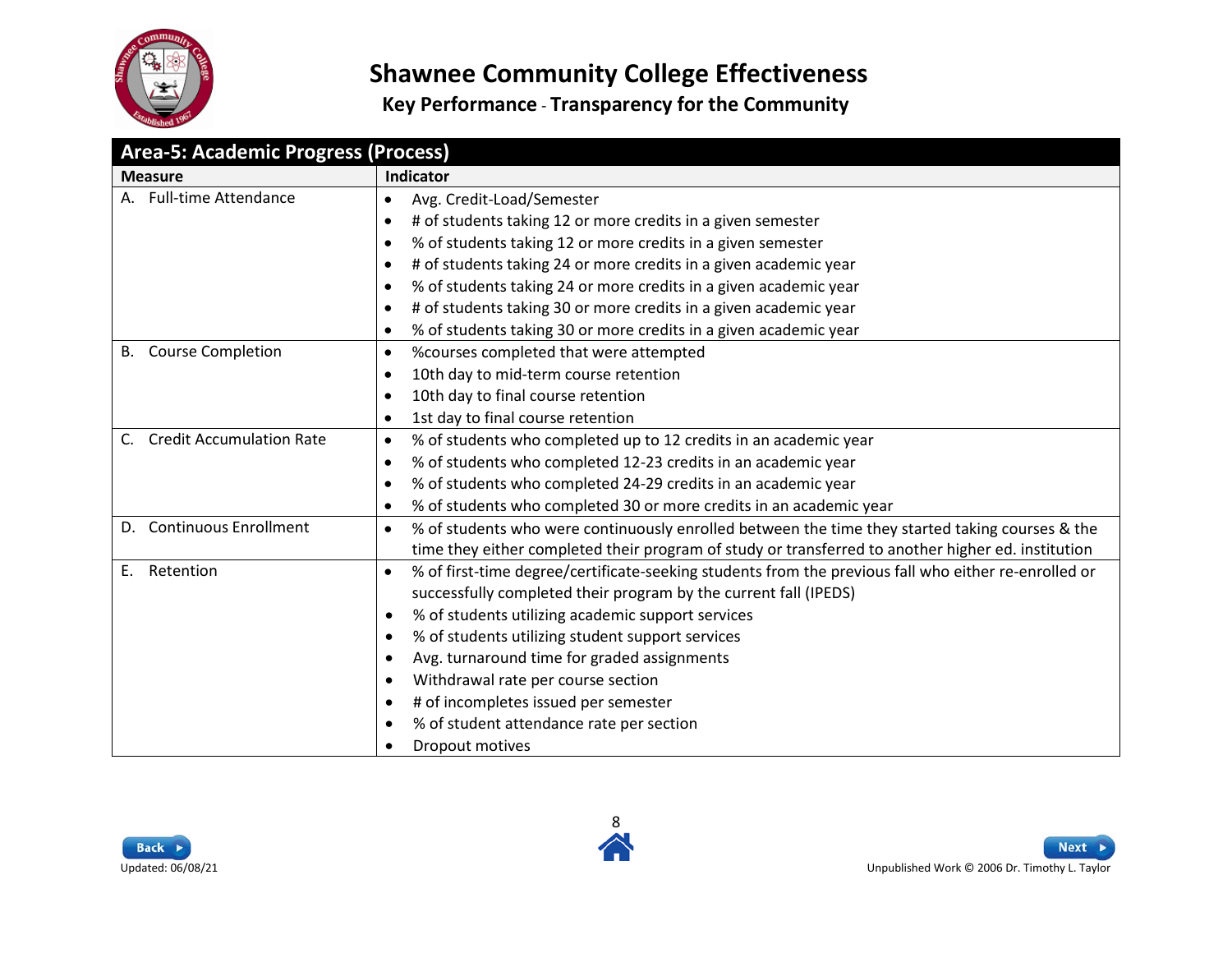

**Key Performance** - **Transparency for the Community**

<span id="page-7-0"></span>

| <b>Area-5: Academic Progress (Process)</b>     |                                                                                                                   |  |
|------------------------------------------------|-------------------------------------------------------------------------------------------------------------------|--|
| <b>Measure</b>                                 | Indicator                                                                                                         |  |
| A. Full-time Attendance                        | Avg. Credit-Load/Semester<br>$\bullet$                                                                            |  |
|                                                | # of students taking 12 or more credits in a given semester<br>$\bullet$                                          |  |
|                                                | % of students taking 12 or more credits in a given semester<br>$\bullet$                                          |  |
|                                                | # of students taking 24 or more credits in a given academic year<br>$\bullet$                                     |  |
|                                                | % of students taking 24 or more credits in a given academic year<br>$\bullet$                                     |  |
|                                                | # of students taking 30 or more credits in a given academic year<br>$\bullet$                                     |  |
|                                                | % of students taking 30 or more credits in a given academic year<br>$\bullet$                                     |  |
| <b>Course Completion</b><br>B.                 | %courses completed that were attempted<br>$\bullet$                                                               |  |
|                                                | 10th day to mid-term course retention<br>$\bullet$                                                                |  |
|                                                | 10th day to final course retention<br>$\bullet$                                                                   |  |
|                                                | 1st day to final course retention<br>$\bullet$                                                                    |  |
| <b>Credit Accumulation Rate</b><br>$C_{\cdot}$ | % of students who completed up to 12 credits in an academic year<br>$\bullet$                                     |  |
|                                                | % of students who completed 12-23 credits in an academic year<br>$\bullet$                                        |  |
|                                                | % of students who completed 24-29 credits in an academic year<br>$\bullet$                                        |  |
|                                                | % of students who completed 30 or more credits in an academic year<br>$\bullet$                                   |  |
| <b>Continuous Enrollment</b><br>D.             | % of students who were continuously enrolled between the time they started taking courses & the<br>$\bullet$      |  |
|                                                | time they either completed their program of study or transferred to another higher ed. institution                |  |
| Retention<br>Ε.                                | % of first-time degree/certificate-seeking students from the previous fall who either re-enrolled or<br>$\bullet$ |  |
|                                                | successfully completed their program by the current fall (IPEDS)                                                  |  |
|                                                | % of students utilizing academic support services<br>$\bullet$                                                    |  |
|                                                | % of students utilizing student support services<br>$\bullet$                                                     |  |
|                                                | Avg. turnaround time for graded assignments<br>$\bullet$                                                          |  |
|                                                | Withdrawal rate per course section<br>$\bullet$                                                                   |  |
|                                                | # of incompletes issued per semester<br>$\bullet$                                                                 |  |
|                                                | % of student attendance rate per section                                                                          |  |
|                                                | Dropout motives<br>$\bullet$                                                                                      |  |

8



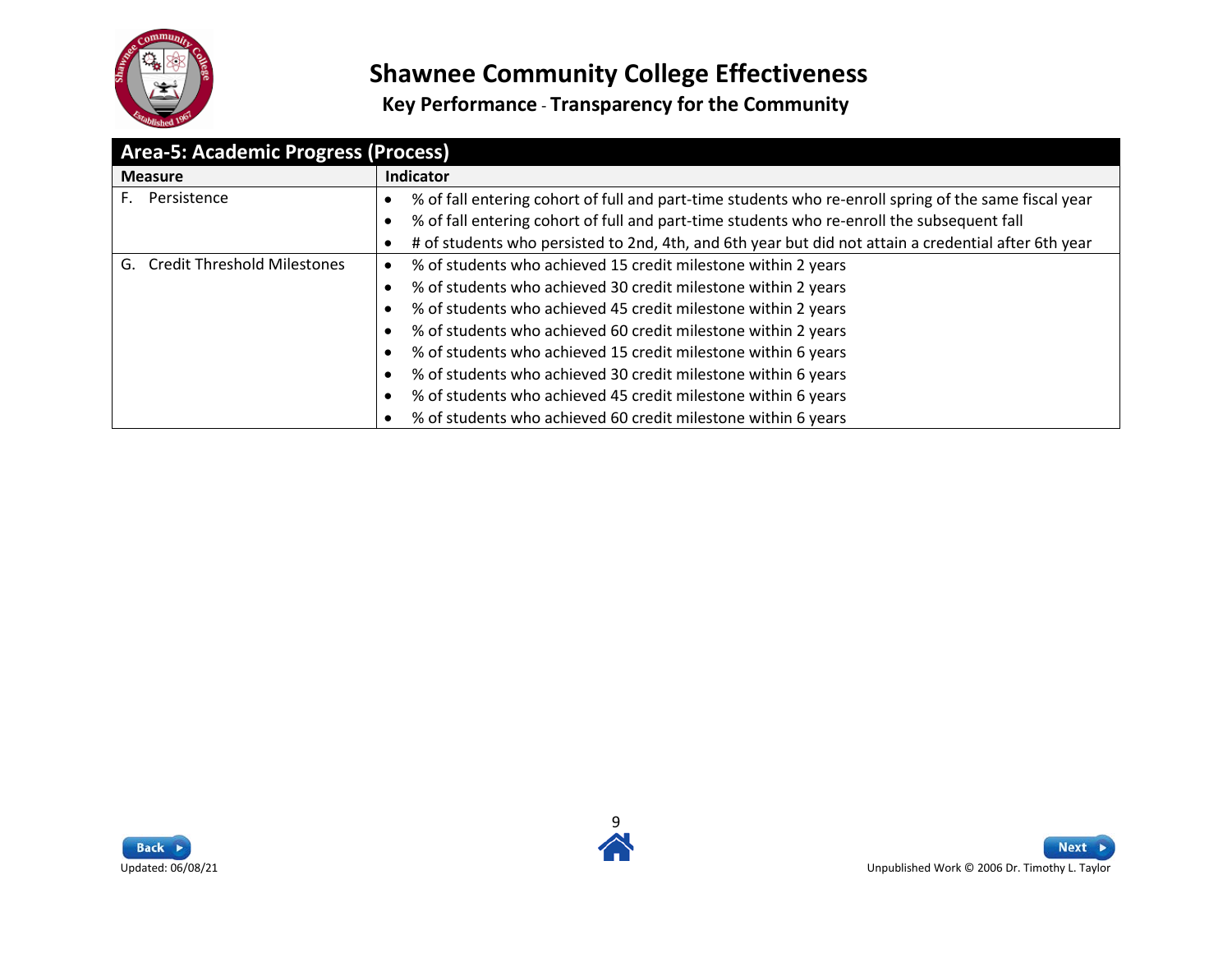

| <b>Area-5: Academic Progress (Process)</b> |                                                                                                       |  |
|--------------------------------------------|-------------------------------------------------------------------------------------------------------|--|
| <b>Measure</b>                             | Indicator                                                                                             |  |
| Persistence                                | % of fall entering cohort of full and part-time students who re-enroll spring of the same fiscal year |  |
|                                            | % of fall entering cohort of full and part-time students who re-enroll the subsequent fall            |  |
|                                            | # of students who persisted to 2nd, 4th, and 6th year but did not attain a credential after 6th year  |  |
| <b>Credit Threshold Milestones</b><br>G.   | % of students who achieved 15 credit milestone within 2 years                                         |  |
|                                            | % of students who achieved 30 credit milestone within 2 years                                         |  |
|                                            | % of students who achieved 45 credit milestone within 2 years                                         |  |
|                                            | % of students who achieved 60 credit milestone within 2 years                                         |  |
|                                            | % of students who achieved 15 credit milestone within 6 years                                         |  |
|                                            | % of students who achieved 30 credit milestone within 6 years                                         |  |
|                                            | % of students who achieved 45 credit milestone within 6 years                                         |  |
|                                            | % of students who achieved 60 credit milestone within 6 years                                         |  |



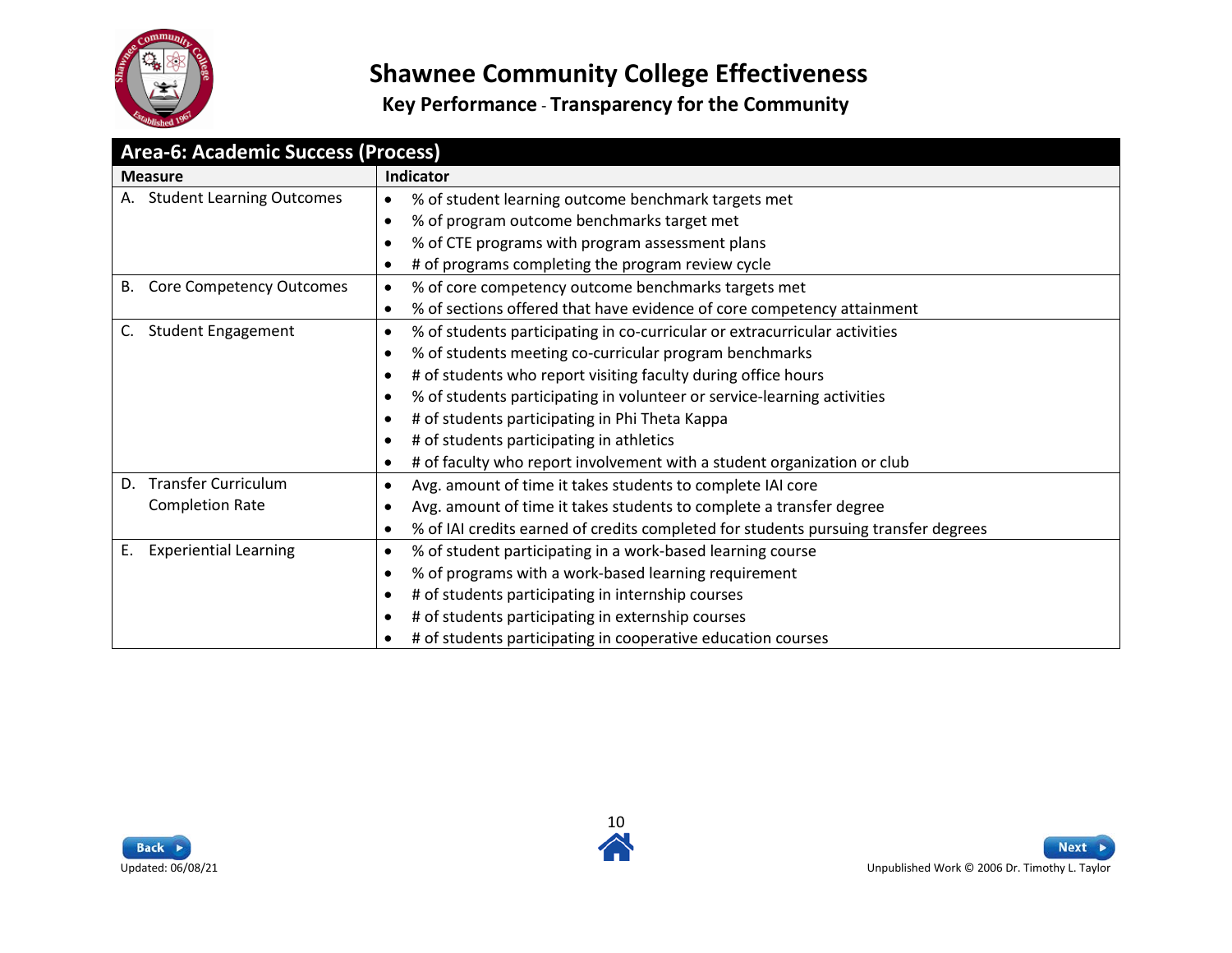

<span id="page-9-0"></span>

| <b>Area-6: Academic Success (Process)</b> |                                                                                                  |  |
|-------------------------------------------|--------------------------------------------------------------------------------------------------|--|
| <b>Measure</b>                            | <b>Indicator</b>                                                                                 |  |
| <b>Student Learning Outcomes</b>          | % of student learning outcome benchmark targets met<br>$\bullet$                                 |  |
|                                           | % of program outcome benchmarks target met<br>$\bullet$                                          |  |
|                                           | % of CTE programs with program assessment plans<br>$\bullet$                                     |  |
|                                           | # of programs completing the program review cycle<br>$\bullet$                                   |  |
| Core Competency Outcomes<br>В.            | % of core competency outcome benchmarks targets met<br>٠                                         |  |
|                                           | % of sections offered that have evidence of core competency attainment<br>$\bullet$              |  |
| <b>Student Engagement</b><br>C.           | % of students participating in co-curricular or extracurricular activities<br>$\bullet$          |  |
|                                           | % of students meeting co-curricular program benchmarks<br>$\bullet$                              |  |
|                                           | # of students who report visiting faculty during office hours<br>$\bullet$                       |  |
|                                           | % of students participating in volunteer or service-learning activities<br>$\bullet$             |  |
|                                           | # of students participating in Phi Theta Kappa                                                   |  |
|                                           | # of students participating in athletics<br>$\bullet$                                            |  |
|                                           | # of faculty who report involvement with a student organization or club<br>$\bullet$             |  |
| <b>Transfer Curriculum</b><br>D.          | Avg. amount of time it takes students to complete IAI core<br>$\bullet$                          |  |
| <b>Completion Rate</b>                    | Avg. amount of time it takes students to complete a transfer degree<br>٠                         |  |
|                                           | % of IAI credits earned of credits completed for students pursuing transfer degrees<br>$\bullet$ |  |
| <b>Experiential Learning</b><br>Е.        | % of student participating in a work-based learning course<br>$\bullet$                          |  |
|                                           | % of programs with a work-based learning requirement<br>$\bullet$                                |  |
|                                           | # of students participating in internship courses<br>$\bullet$                                   |  |
|                                           | # of students participating in externship courses<br>$\bullet$                                   |  |
|                                           | # of students participating in cooperative education courses                                     |  |



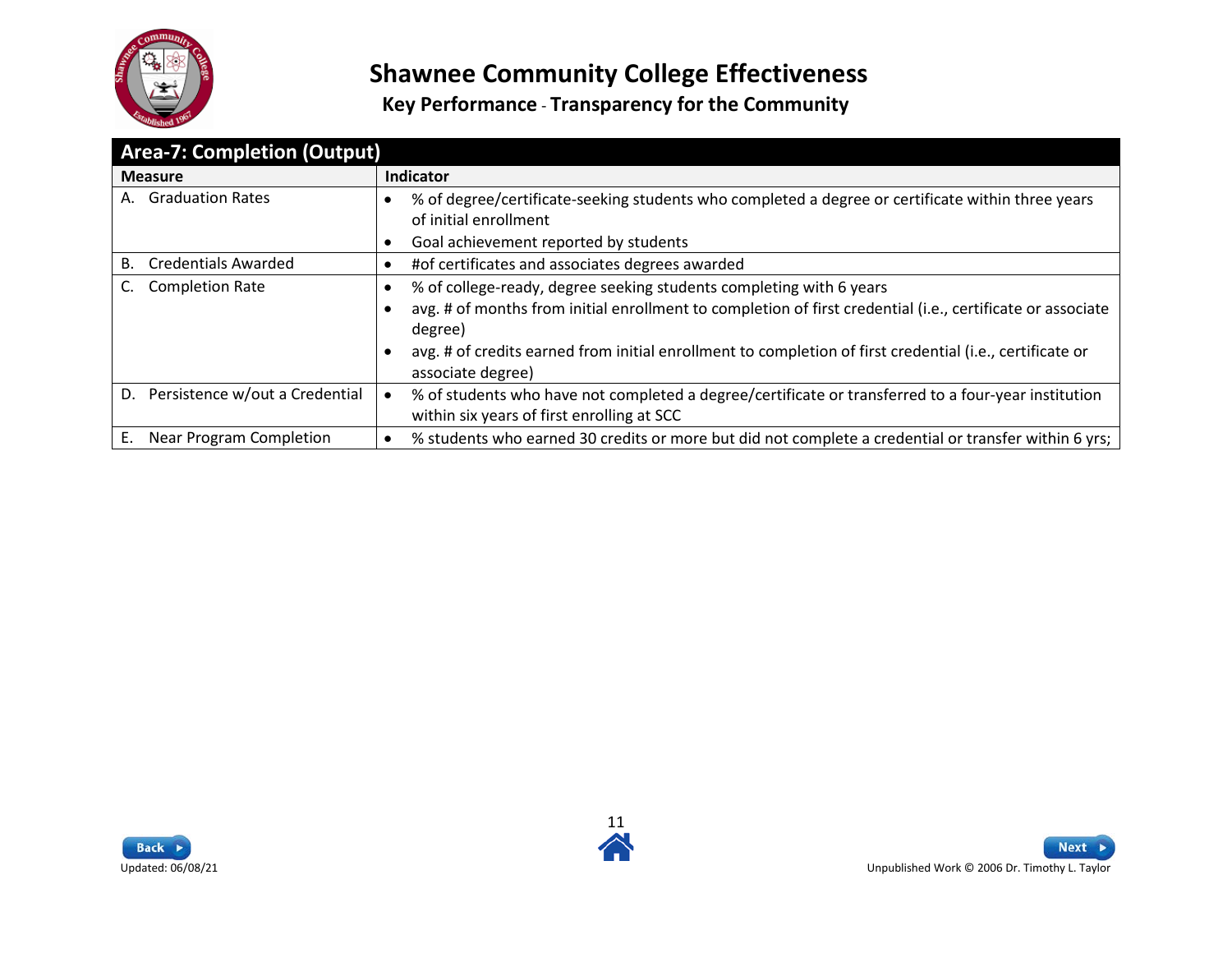

<span id="page-10-0"></span>

| <b>Area-7: Completion (Output)</b>   |                                                                                                                                                   |  |
|--------------------------------------|---------------------------------------------------------------------------------------------------------------------------------------------------|--|
| <b>Measure</b>                       | Indicator                                                                                                                                         |  |
| <b>Graduation Rates</b><br>А.        | % of degree/certificate-seeking students who completed a degree or certificate within three years<br>of initial enrollment                        |  |
|                                      | Goal achievement reported by students                                                                                                             |  |
| <b>Credentials Awarded</b><br>В.     | #of certificates and associates degrees awarded                                                                                                   |  |
| <b>Completion Rate</b>               | % of college-ready, degree seeking students completing with 6 years<br>٠                                                                          |  |
|                                      | avg. # of months from initial enrollment to completion of first credential (i.e., certificate or associate<br>degree)                             |  |
|                                      | avg. # of credits earned from initial enrollment to completion of first credential (i.e., certificate or<br>associate degree)                     |  |
| D. Persistence w/out a Credential    | % of students who have not completed a degree/certificate or transferred to a four-year institution<br>within six years of first enrolling at SCC |  |
| <b>Near Program Completion</b><br>Е. | % students who earned 30 credits or more but did not complete a credential or transfer within 6 yrs;                                              |  |



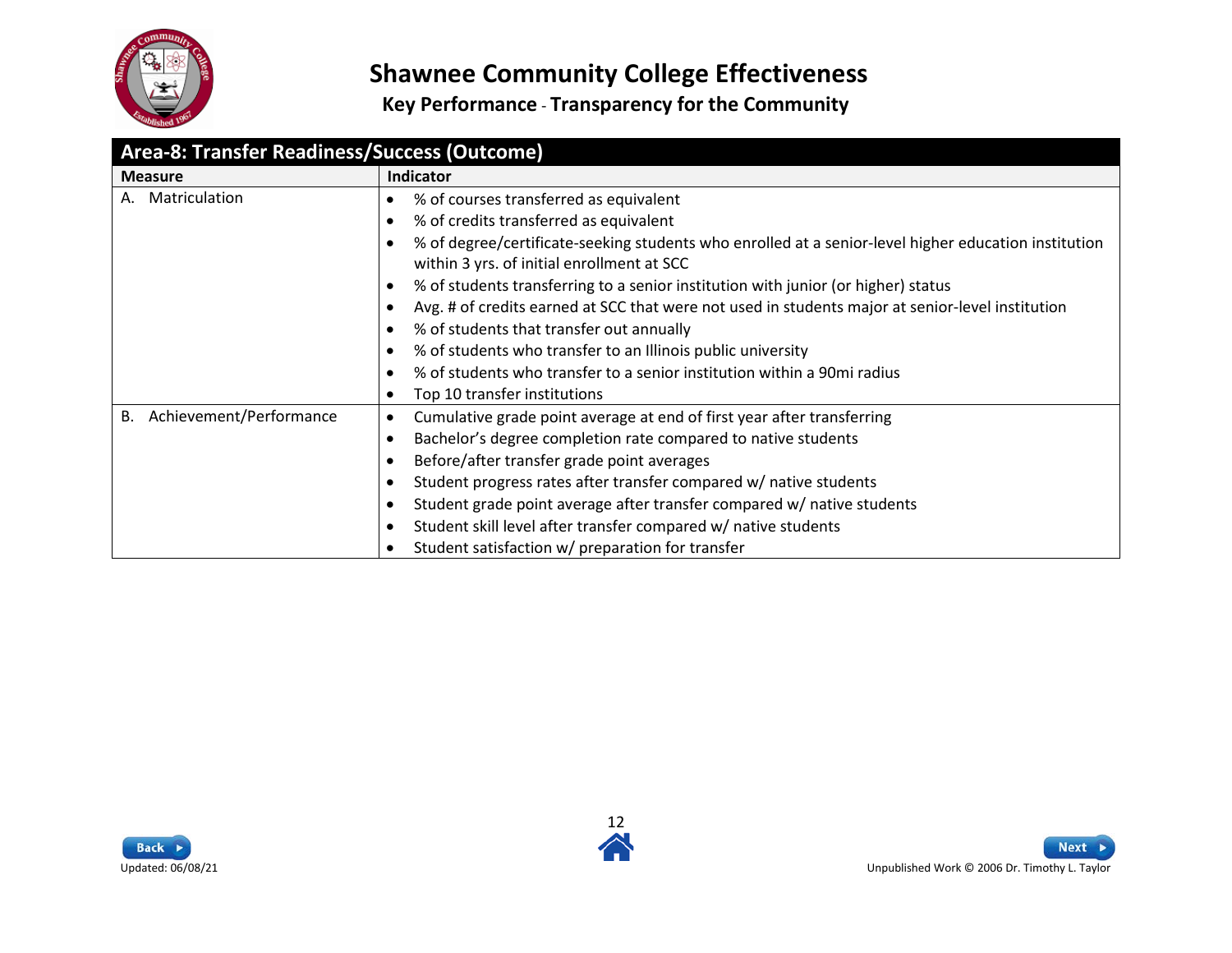

<span id="page-11-0"></span>

| Area-8: Transfer Readiness/Success (Outcome) |                                                                                                                                                                 |  |
|----------------------------------------------|-----------------------------------------------------------------------------------------------------------------------------------------------------------------|--|
| <b>Measure</b>                               | Indicator                                                                                                                                                       |  |
| Matriculation<br>А.                          | % of courses transferred as equivalent<br>٠                                                                                                                     |  |
|                                              | % of credits transferred as equivalent<br>$\bullet$                                                                                                             |  |
|                                              | % of degree/certificate-seeking students who enrolled at a senior-level higher education institution<br>$\bullet$<br>within 3 yrs. of initial enrollment at SCC |  |
|                                              | % of students transferring to a senior institution with junior (or higher) status<br>$\bullet$                                                                  |  |
|                                              | Avg. # of credits earned at SCC that were not used in students major at senior-level institution<br>$\bullet$                                                   |  |
|                                              | % of students that transfer out annually<br>$\bullet$                                                                                                           |  |
|                                              | % of students who transfer to an Illinois public university<br>$\bullet$                                                                                        |  |
|                                              | % of students who transfer to a senior institution within a 90mi radius<br>$\bullet$                                                                            |  |
|                                              | Top 10 transfer institutions<br>٠                                                                                                                               |  |
| Achievement/Performance<br>В.                | Cumulative grade point average at end of first year after transferring<br>٠                                                                                     |  |
|                                              | Bachelor's degree completion rate compared to native students<br>$\bullet$                                                                                      |  |
|                                              | Before/after transfer grade point averages<br>٠                                                                                                                 |  |
|                                              | Student progress rates after transfer compared w/ native students<br>$\bullet$                                                                                  |  |
|                                              | Student grade point average after transfer compared w/ native students<br>$\bullet$                                                                             |  |
|                                              | Student skill level after transfer compared w/ native students<br>٠                                                                                             |  |
|                                              | Student satisfaction w/ preparation for transfer                                                                                                                |  |



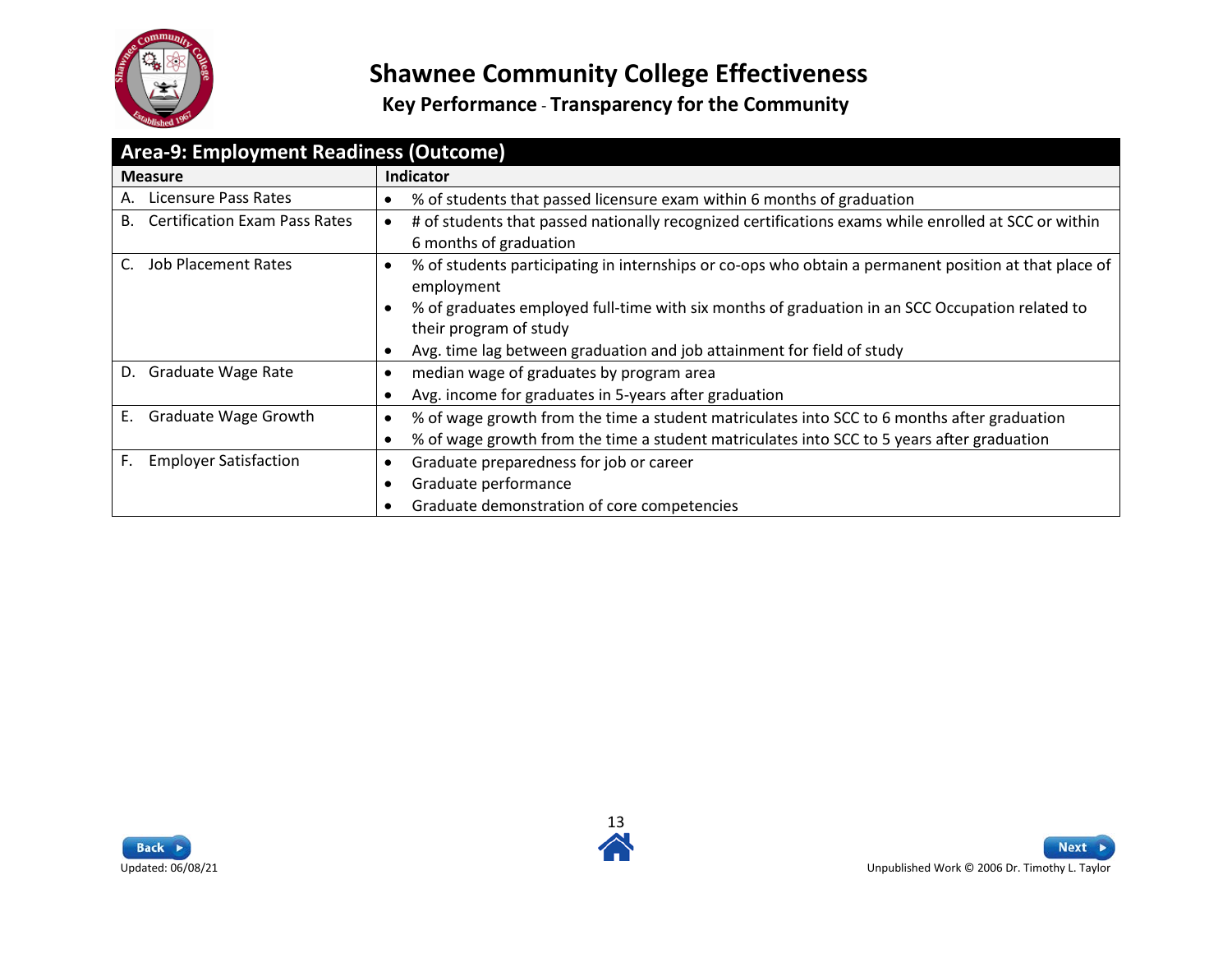

<span id="page-12-0"></span>

| Area-9: Employment Readiness (Outcome)     |                                                                                                                                             |
|--------------------------------------------|---------------------------------------------------------------------------------------------------------------------------------------------|
| <b>Measure</b>                             | <b>Indicator</b>                                                                                                                            |
| Licensure Pass Rates<br>А.                 | % of students that passed licensure exam within 6 months of graduation<br>$\bullet$                                                         |
| <b>Certification Exam Pass Rates</b><br>В. | # of students that passed nationally recognized certifications exams while enrolled at SCC or within<br>$\bullet$<br>6 months of graduation |
| <b>Job Placement Rates</b><br>C.           | % of students participating in internships or co-ops who obtain a permanent position at that place of<br>$\bullet$<br>employment            |
|                                            | % of graduates employed full-time with six months of graduation in an SCC Occupation related to<br>$\bullet$<br>their program of study      |
|                                            | Avg. time lag between graduation and job attainment for field of study<br>$\bullet$                                                         |
| <b>Graduate Wage Rate</b><br>D.            | median wage of graduates by program area<br>$\bullet$                                                                                       |
|                                            | Avg. income for graduates in 5-years after graduation<br>٠                                                                                  |
| Graduate Wage Growth<br>E.                 | % of wage growth from the time a student matriculates into SCC to 6 months after graduation<br>$\bullet$                                    |
|                                            | % of wage growth from the time a student matriculates into SCC to 5 years after graduation<br>$\bullet$                                     |
| <b>Employer Satisfaction</b><br>F.         | Graduate preparedness for job or career<br>$\bullet$                                                                                        |
|                                            | Graduate performance                                                                                                                        |
|                                            | Graduate demonstration of core competencies<br>$\bullet$                                                                                    |



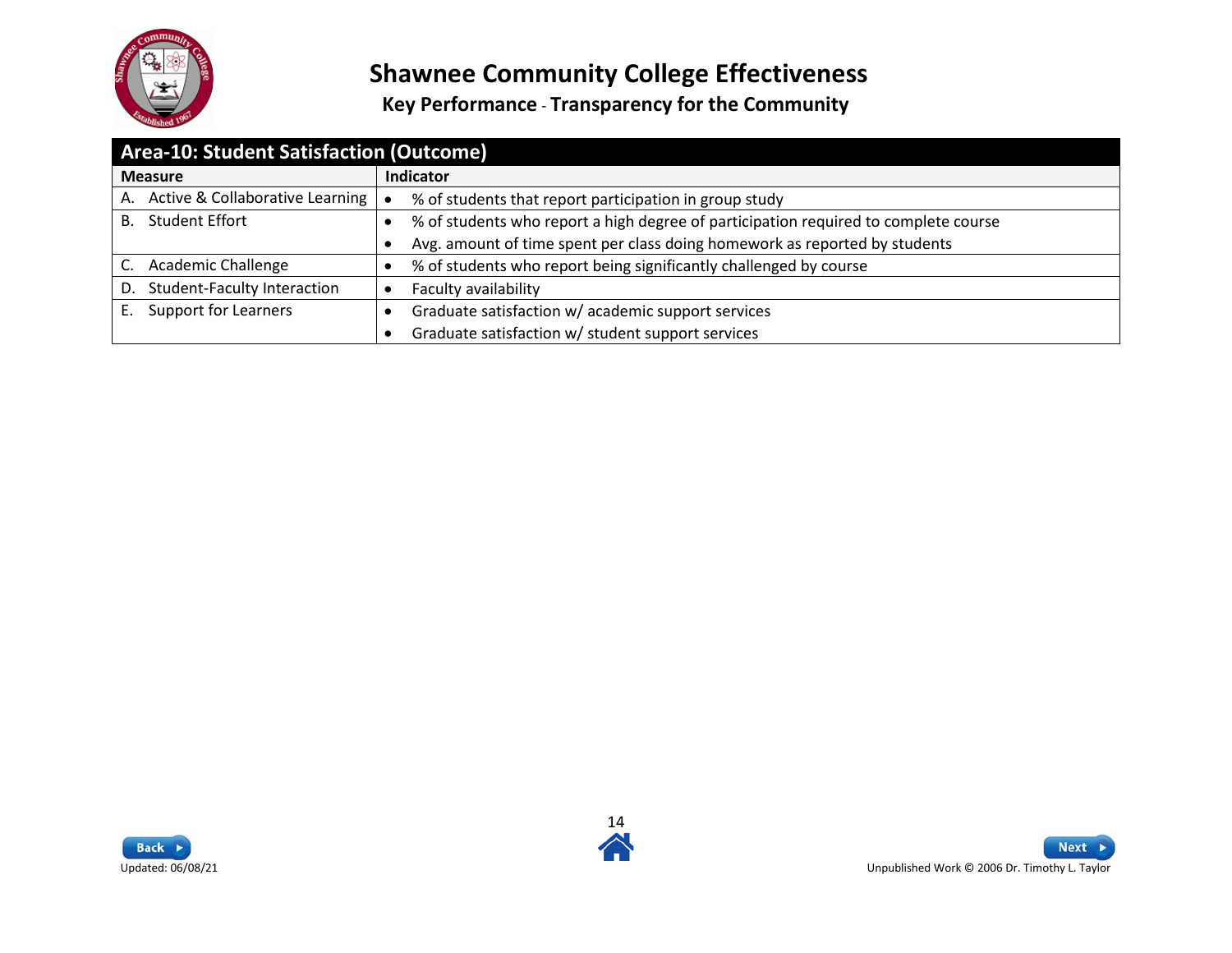

<span id="page-13-0"></span>

| Area-10: Student Satisfaction (Outcome)  |                                                                                     |
|------------------------------------------|-------------------------------------------------------------------------------------|
| <b>Measure</b>                           | <b>Indicator</b>                                                                    |
| A. Active & Collaborative Learning       | % of students that report participation in group study                              |
| <b>Student Effort</b><br>В.              | % of students who report a high degree of participation required to complete course |
|                                          | Avg. amount of time spent per class doing homework as reported by students          |
| <b>Academic Challenge</b>                | % of students who report being significantly challenged by course                   |
| <b>Student-Faculty Interaction</b><br>D. | Faculty availability                                                                |
| <b>Support for Learners</b><br>Е.        | Graduate satisfaction w/ academic support services                                  |
|                                          | Graduate satisfaction w/ student support services                                   |



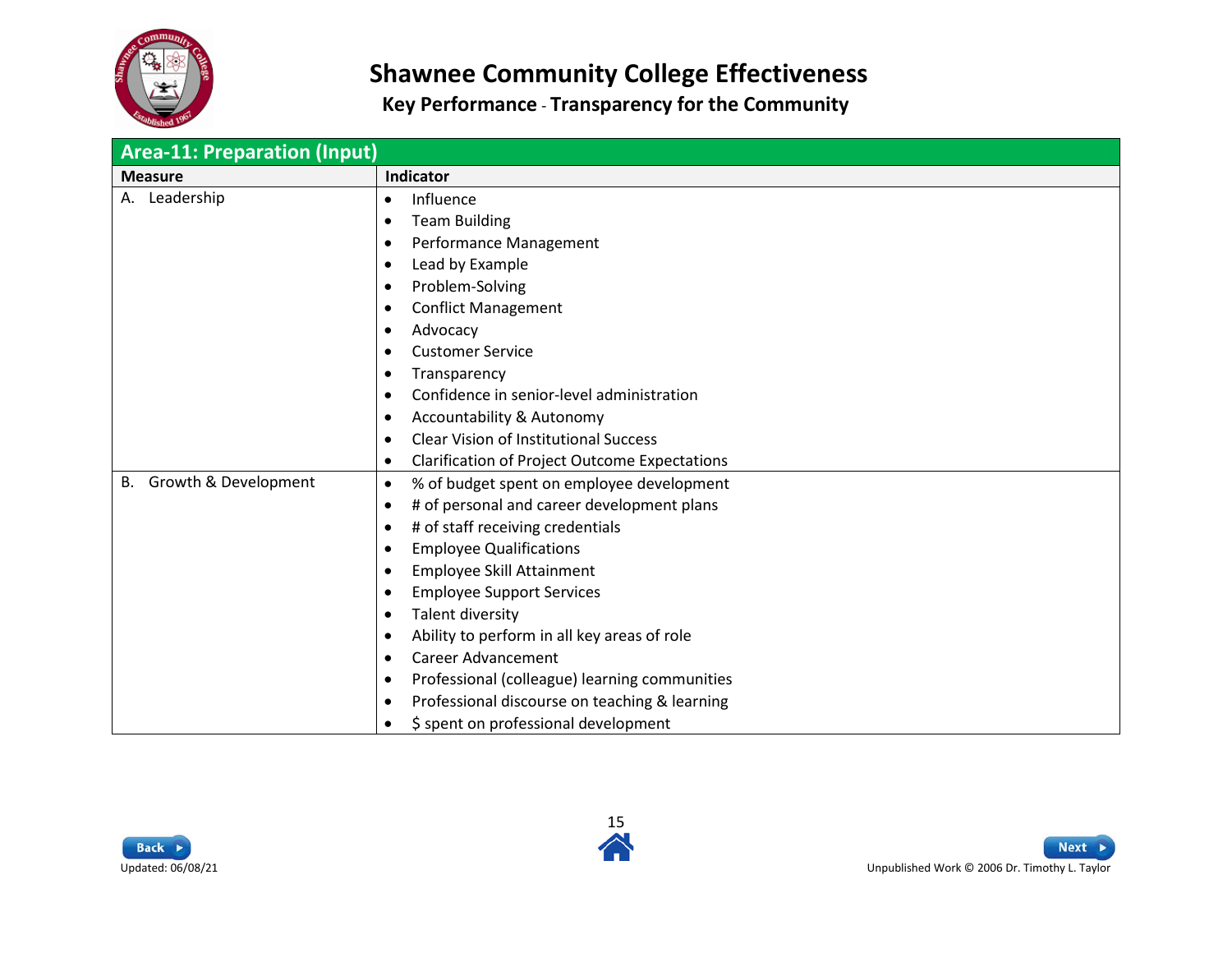

<span id="page-14-0"></span>

| <b>Area-11: Preparation (Input)</b> |                                                                                                                                                                                                                                                                                                                                                                                                                                                                                                                                                                                                                                              |
|-------------------------------------|----------------------------------------------------------------------------------------------------------------------------------------------------------------------------------------------------------------------------------------------------------------------------------------------------------------------------------------------------------------------------------------------------------------------------------------------------------------------------------------------------------------------------------------------------------------------------------------------------------------------------------------------|
| <b>Measure</b>                      | Indicator                                                                                                                                                                                                                                                                                                                                                                                                                                                                                                                                                                                                                                    |
| A. Leadership                       | Influence<br>٠<br><b>Team Building</b><br>$\bullet$<br>Performance Management<br>$\bullet$<br>Lead by Example<br>٠<br>Problem-Solving<br>$\bullet$<br><b>Conflict Management</b><br>٠<br>Advocacy<br>٠<br><b>Customer Service</b><br>٠<br>Transparency<br>٠<br>Confidence in senior-level administration<br>$\bullet$<br>Accountability & Autonomy<br>$\bullet$<br><b>Clear Vision of Institutional Success</b><br>٠                                                                                                                                                                                                                         |
| Growth & Development<br>В.          | <b>Clarification of Project Outcome Expectations</b><br>٠<br>% of budget spent on employee development<br>$\bullet$<br># of personal and career development plans<br>٠<br># of staff receiving credentials<br><b>Employee Qualifications</b><br>$\bullet$<br>Employee Skill Attainment<br>٠<br><b>Employee Support Services</b><br>$\bullet$<br>Talent diversity<br>$\bullet$<br>Ability to perform in all key areas of role<br>٠<br><b>Career Advancement</b><br>$\bullet$<br>Professional (colleague) learning communities<br>٠<br>Professional discourse on teaching & learning<br>٠<br>\$ spent on professional development<br>$\bullet$ |



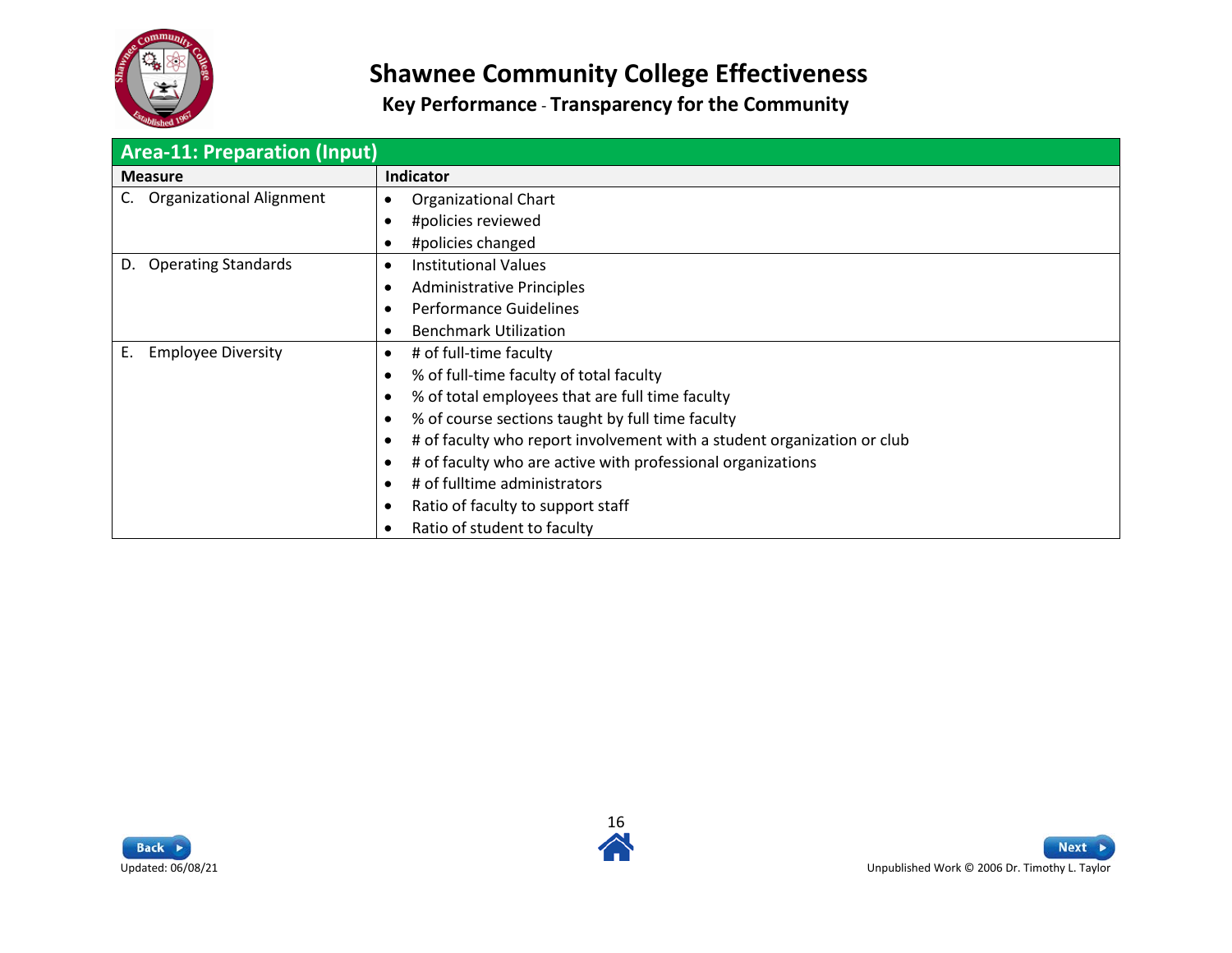

| <b>Area-11: Preparation (Input)</b> |                                                                                      |
|-------------------------------------|--------------------------------------------------------------------------------------|
| <b>Measure</b>                      | <b>Indicator</b>                                                                     |
| <b>Organizational Alignment</b>     | Organizational Chart<br>$\bullet$                                                    |
|                                     | #policies reviewed<br>$\bullet$                                                      |
|                                     | #policies changed<br>$\bullet$                                                       |
| <b>Operating Standards</b><br>D.    | <b>Institutional Values</b><br>$\bullet$                                             |
|                                     | <b>Administrative Principles</b><br>$\bullet$                                        |
|                                     | Performance Guidelines<br>$\bullet$                                                  |
|                                     | <b>Benchmark Utilization</b><br>$\bullet$                                            |
| <b>Employee Diversity</b><br>Ε.     | # of full-time faculty<br>$\bullet$                                                  |
|                                     | % of full-time faculty of total faculty<br>$\bullet$                                 |
|                                     | % of total employees that are full time faculty<br>$\bullet$                         |
|                                     | % of course sections taught by full time faculty<br>$\bullet$                        |
|                                     | # of faculty who report involvement with a student organization or club<br>$\bullet$ |
|                                     | # of faculty who are active with professional organizations<br>$\bullet$             |
|                                     | # of fulltime administrators<br>$\bullet$                                            |
|                                     | Ratio of faculty to support staff<br>$\bullet$                                       |
|                                     | Ratio of student to faculty<br>$\bullet$                                             |



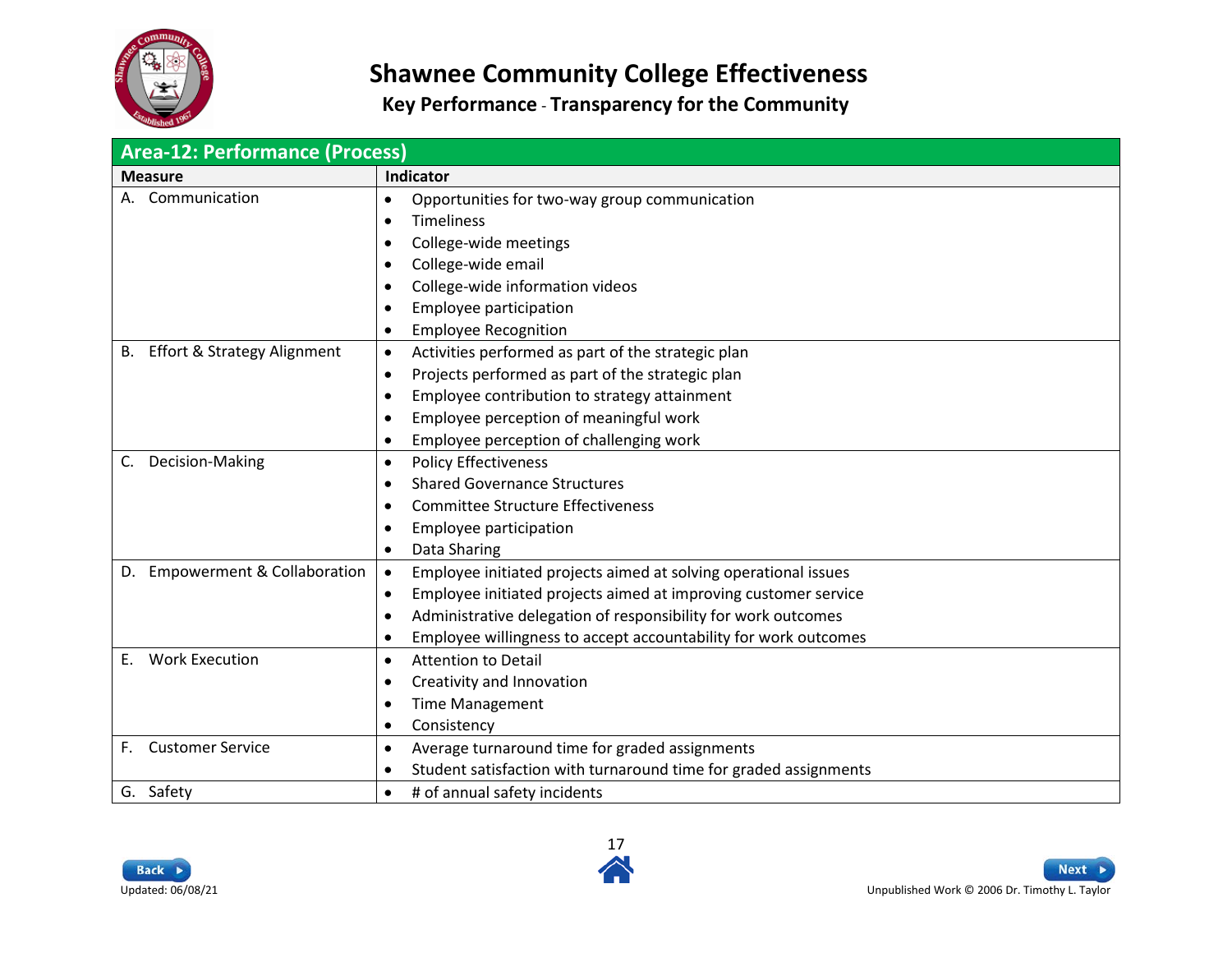

<span id="page-16-0"></span>

| <b>Area-12: Performance (Process)</b>        |                                                                                                                                                                                                                                                                                                                            |  |
|----------------------------------------------|----------------------------------------------------------------------------------------------------------------------------------------------------------------------------------------------------------------------------------------------------------------------------------------------------------------------------|--|
| <b>Measure</b>                               | Indicator                                                                                                                                                                                                                                                                                                                  |  |
| Communication                                | Opportunities for two-way group communication<br>$\bullet$<br><b>Timeliness</b><br>$\bullet$<br>College-wide meetings<br>$\bullet$<br>College-wide email<br>$\bullet$<br>College-wide information videos<br>$\bullet$<br>Employee participation<br>$\bullet$<br><b>Employee Recognition</b><br>$\bullet$                   |  |
| <b>Effort &amp; Strategy Alignment</b><br>В. | Activities performed as part of the strategic plan<br>$\bullet$<br>Projects performed as part of the strategic plan<br>$\bullet$<br>Employee contribution to strategy attainment<br>$\bullet$<br>Employee perception of meaningful work<br>$\bullet$<br>Employee perception of challenging work<br>$\bullet$               |  |
| Decision-Making<br>C.                        | <b>Policy Effectiveness</b><br>$\bullet$<br><b>Shared Governance Structures</b><br>$\bullet$<br><b>Committee Structure Effectiveness</b><br>$\bullet$<br>Employee participation<br>$\bullet$<br>Data Sharing<br>$\bullet$                                                                                                  |  |
| D. Empowerment & Collaboration               | $\bullet$<br>Employee initiated projects aimed at solving operational issues<br>Employee initiated projects aimed at improving customer service<br>$\bullet$<br>Administrative delegation of responsibility for work outcomes<br>$\bullet$<br>Employee willingness to accept accountability for work outcomes<br>$\bullet$ |  |
| <b>Work Execution</b><br>E.                  | <b>Attention to Detail</b><br>$\bullet$<br>Creativity and Innovation<br>$\bullet$<br><b>Time Management</b><br>$\bullet$<br>Consistency<br>$\bullet$                                                                                                                                                                       |  |
| <b>Customer Service</b><br>F.                | Average turnaround time for graded assignments<br>$\bullet$<br>Student satisfaction with turnaround time for graded assignments<br>$\bullet$                                                                                                                                                                               |  |
| G. Safety                                    | # of annual safety incidents<br>$\bullet$                                                                                                                                                                                                                                                                                  |  |



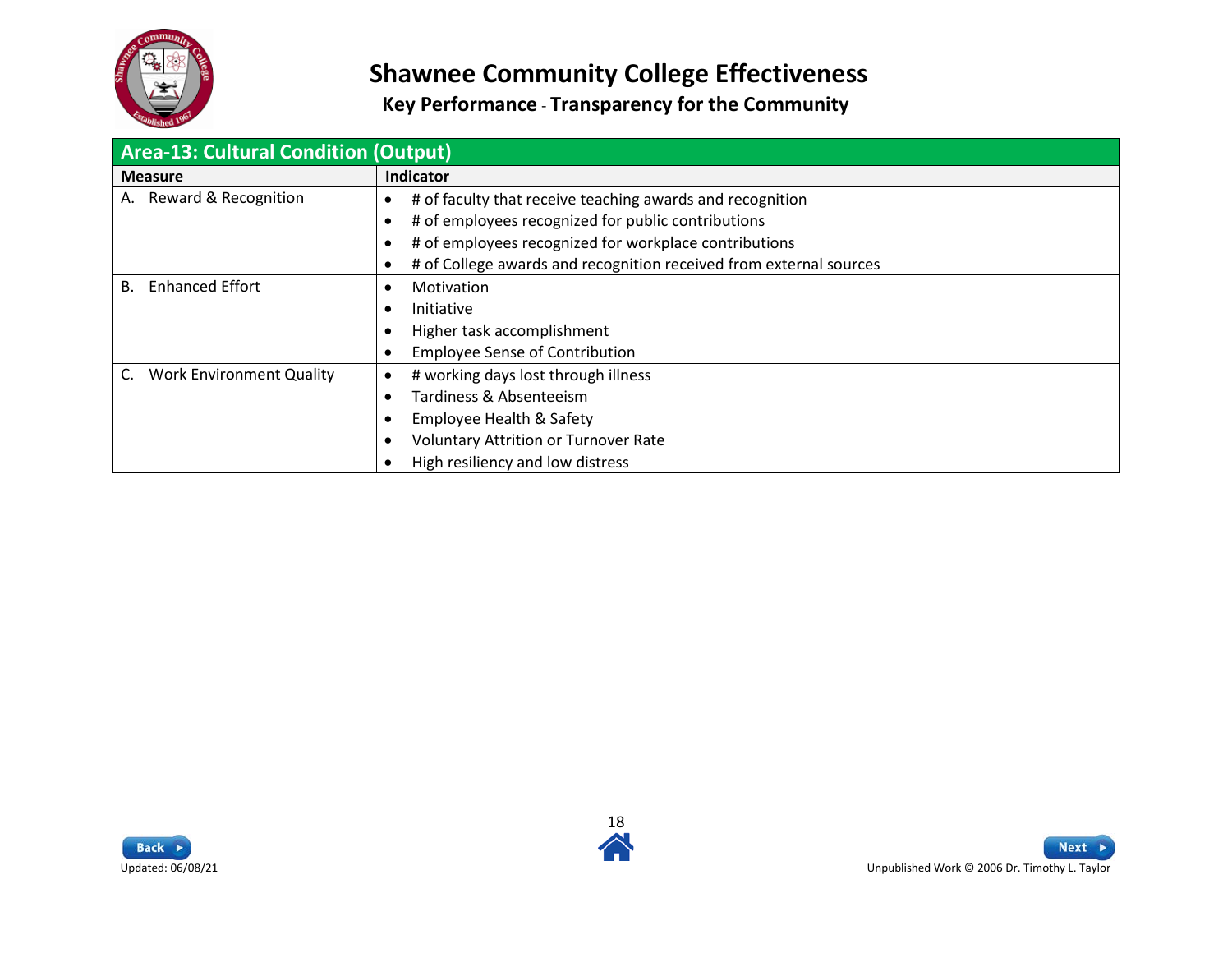

<span id="page-17-0"></span>

| <b>Area-13: Cultural Condition (Output)</b> |                                                                    |
|---------------------------------------------|--------------------------------------------------------------------|
| <b>Measure</b>                              | Indicator                                                          |
| Reward & Recognition<br>А.                  | # of faculty that receive teaching awards and recognition          |
|                                             | # of employees recognized for public contributions                 |
|                                             | # of employees recognized for workplace contributions              |
|                                             | # of College awards and recognition received from external sources |
| <b>Enhanced Effort</b><br><b>B.</b>         | Motivation                                                         |
|                                             | Initiative                                                         |
|                                             | Higher task accomplishment                                         |
|                                             | <b>Employee Sense of Contribution</b>                              |
| <b>Work Environment Quality</b>             | # working days lost through illness<br>٠                           |
|                                             | Tardiness & Absenteeism                                            |
|                                             | Employee Health & Safety                                           |
|                                             | <b>Voluntary Attrition or Turnover Rate</b>                        |
|                                             | High resiliency and low distress                                   |



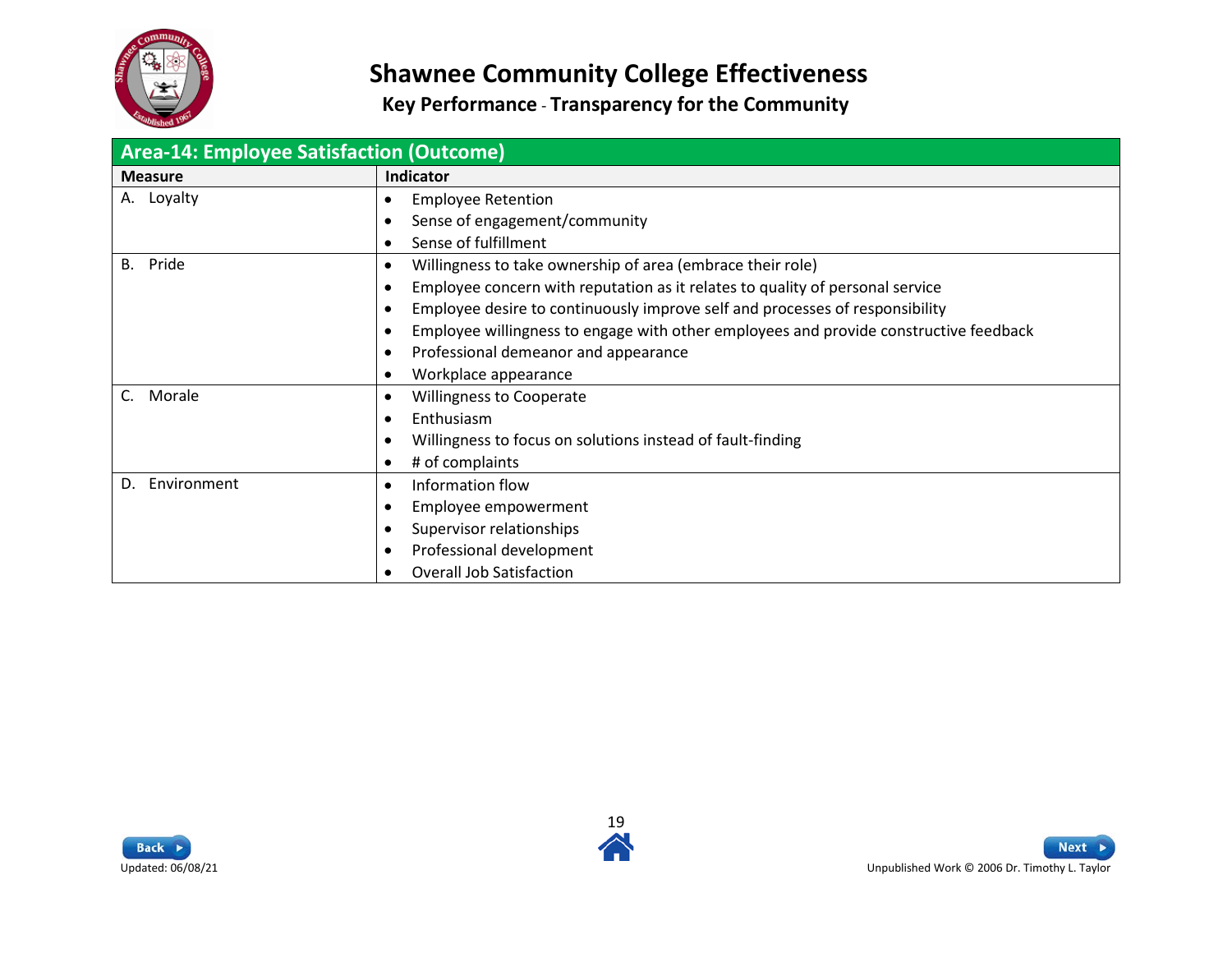

<span id="page-18-0"></span>

| <b>Area-14: Employee Satisfaction (Outcome)</b> |                                                                                                    |
|-------------------------------------------------|----------------------------------------------------------------------------------------------------|
| <b>Measure</b>                                  | Indicator                                                                                          |
| A. Loyalty                                      | <b>Employee Retention</b><br>$\bullet$                                                             |
|                                                 | Sense of engagement/community<br>$\bullet$                                                         |
|                                                 | Sense of fulfillment<br>$\bullet$                                                                  |
| Pride<br><b>B.</b>                              | Willingness to take ownership of area (embrace their role)<br>$\bullet$                            |
|                                                 | Employee concern with reputation as it relates to quality of personal service<br>$\bullet$         |
|                                                 | Employee desire to continuously improve self and processes of responsibility<br>$\bullet$          |
|                                                 | Employee willingness to engage with other employees and provide constructive feedback<br>$\bullet$ |
|                                                 | Professional demeanor and appearance<br>$\bullet$                                                  |
|                                                 | Workplace appearance<br>$\bullet$                                                                  |
| Morale                                          | <b>Willingness to Cooperate</b><br>$\bullet$                                                       |
|                                                 | Enthusiasm<br>$\bullet$                                                                            |
|                                                 | Willingness to focus on solutions instead of fault-finding<br>$\bullet$                            |
|                                                 | # of complaints<br>$\bullet$                                                                       |
| Environment<br>D.                               | Information flow<br>$\bullet$                                                                      |
|                                                 | Employee empowerment<br>$\bullet$                                                                  |
|                                                 | Supervisor relationships<br>$\bullet$                                                              |
|                                                 | Professional development<br>$\bullet$                                                              |
|                                                 | <b>Overall Job Satisfaction</b><br>$\bullet$                                                       |



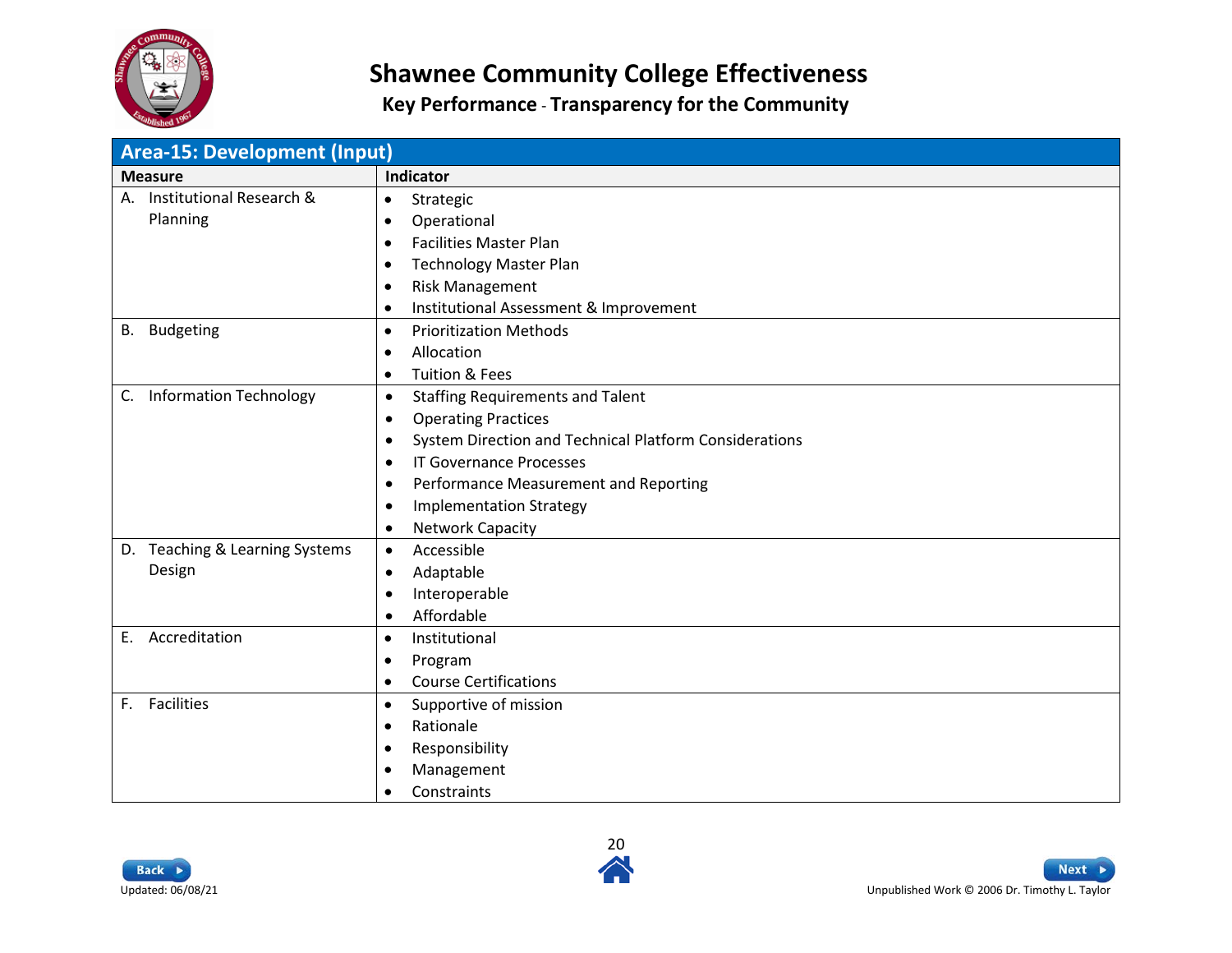

<span id="page-19-0"></span>

| <b>Area-15: Development (Input)</b> |                                                                     |
|-------------------------------------|---------------------------------------------------------------------|
| <b>Measure</b>                      | Indicator                                                           |
| Institutional Research &<br>А.      | Strategic<br>$\bullet$                                              |
| Planning                            | Operational<br>$\bullet$                                            |
|                                     | <b>Facilities Master Plan</b><br>$\bullet$                          |
|                                     | <b>Technology Master Plan</b><br>$\bullet$                          |
|                                     | <b>Risk Management</b><br>$\bullet$                                 |
|                                     | Institutional Assessment & Improvement<br>$\bullet$                 |
| <b>Budgeting</b><br>В.              | <b>Prioritization Methods</b><br>$\bullet$                          |
|                                     | Allocation<br>$\bullet$                                             |
|                                     | <b>Tuition &amp; Fees</b><br>$\bullet$                              |
| <b>Information Technology</b><br>C. | <b>Staffing Requirements and Talent</b><br>$\bullet$                |
|                                     | <b>Operating Practices</b><br>$\bullet$                             |
|                                     | System Direction and Technical Platform Considerations<br>$\bullet$ |
|                                     | <b>IT Governance Processes</b><br>$\bullet$                         |
|                                     | Performance Measurement and Reporting<br>$\bullet$                  |
|                                     | <b>Implementation Strategy</b><br>$\bullet$                         |
|                                     | <b>Network Capacity</b><br>$\bullet$                                |
| D. Teaching & Learning Systems      | Accessible<br>$\bullet$                                             |
| Design                              | Adaptable<br>$\bullet$                                              |
|                                     | Interoperable<br>$\bullet$                                          |
|                                     | Affordable<br>$\bullet$                                             |
| Accreditation<br>E.                 | Institutional<br>$\bullet$                                          |
|                                     | Program<br>$\bullet$                                                |
|                                     | <b>Course Certifications</b><br>$\bullet$                           |
| <b>Facilities</b><br>F.             | Supportive of mission<br>$\bullet$                                  |
|                                     | Rationale<br>$\bullet$                                              |
|                                     | Responsibility<br>$\bullet$                                         |
|                                     | Management<br>٠                                                     |
|                                     | Constraints<br>$\bullet$                                            |



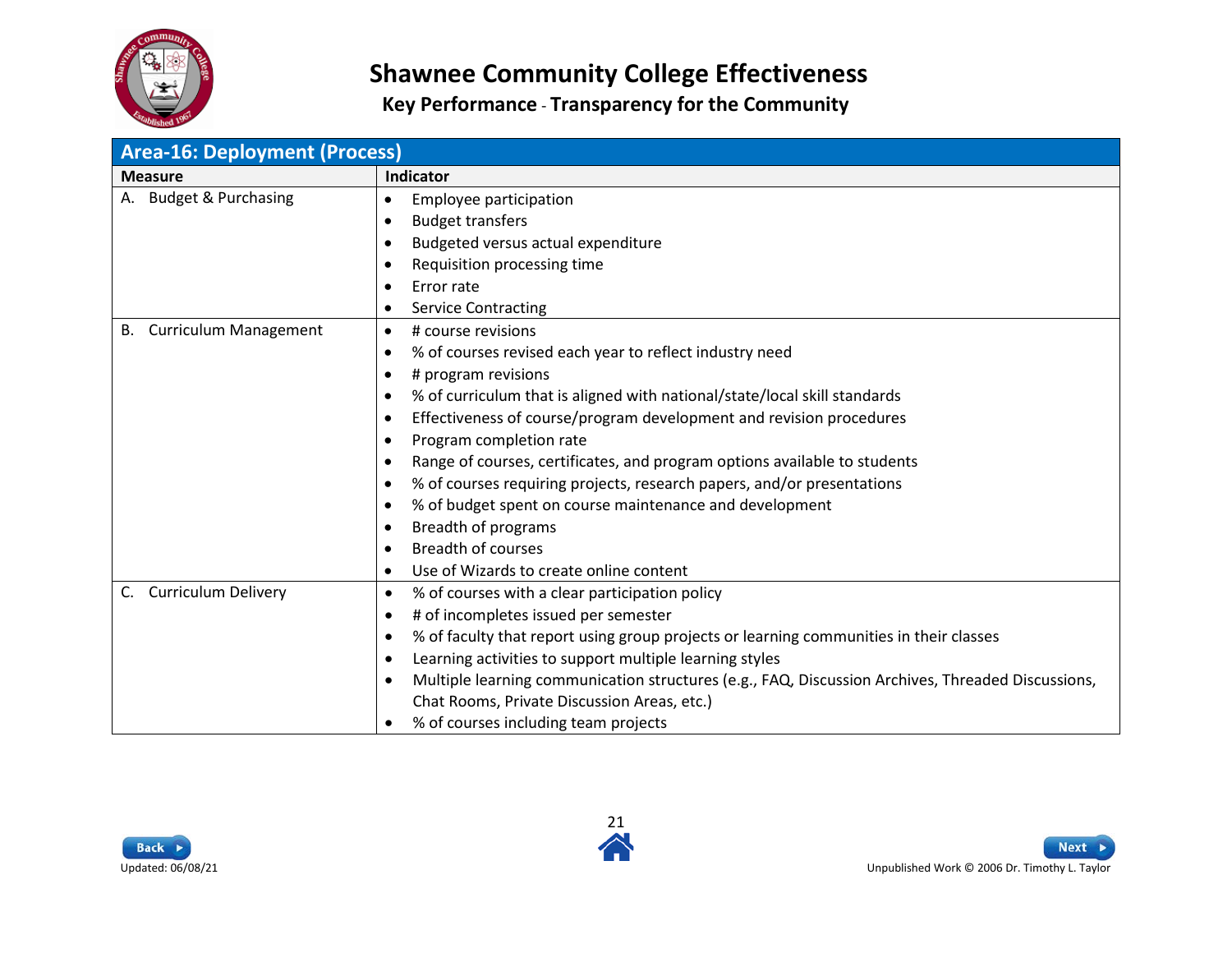

<span id="page-20-0"></span>

| <b>Area-16: Deployment (Process)</b> |                                                                                                                |  |
|--------------------------------------|----------------------------------------------------------------------------------------------------------------|--|
| <b>Measure</b>                       | Indicator                                                                                                      |  |
| A. Budget & Purchasing               | Employee participation<br>$\bullet$                                                                            |  |
|                                      | <b>Budget transfers</b><br>$\bullet$                                                                           |  |
|                                      | Budgeted versus actual expenditure<br>$\bullet$                                                                |  |
|                                      | Requisition processing time<br>$\bullet$                                                                       |  |
|                                      | Error rate<br>$\bullet$                                                                                        |  |
|                                      | <b>Service Contracting</b><br>$\bullet$                                                                        |  |
| <b>Curriculum Management</b><br>В.   | # course revisions<br>$\bullet$                                                                                |  |
|                                      | % of courses revised each year to reflect industry need<br>$\bullet$                                           |  |
|                                      | # program revisions<br>$\bullet$                                                                               |  |
|                                      | % of curriculum that is aligned with national/state/local skill standards<br>$\bullet$                         |  |
|                                      | Effectiveness of course/program development and revision procedures<br>$\bullet$                               |  |
|                                      | Program completion rate<br>$\bullet$                                                                           |  |
|                                      | Range of courses, certificates, and program options available to students<br>$\bullet$                         |  |
|                                      | % of courses requiring projects, research papers, and/or presentations<br>$\bullet$                            |  |
|                                      | % of budget spent on course maintenance and development<br>$\bullet$                                           |  |
|                                      | Breadth of programs<br>$\bullet$                                                                               |  |
|                                      | <b>Breadth of courses</b><br>$\bullet$                                                                         |  |
|                                      | Use of Wizards to create online content<br>$\bullet$                                                           |  |
| <b>Curriculum Delivery</b><br>C.     | % of courses with a clear participation policy<br>$\bullet$                                                    |  |
|                                      | # of incompletes issued per semester<br>$\bullet$                                                              |  |
|                                      | % of faculty that report using group projects or learning communities in their classes<br>$\bullet$            |  |
|                                      | Learning activities to support multiple learning styles<br>$\bullet$                                           |  |
|                                      | Multiple learning communication structures (e.g., FAQ, Discussion Archives, Threaded Discussions,<br>$\bullet$ |  |
|                                      | Chat Rooms, Private Discussion Areas, etc.)                                                                    |  |
|                                      | % of courses including team projects<br>$\bullet$                                                              |  |



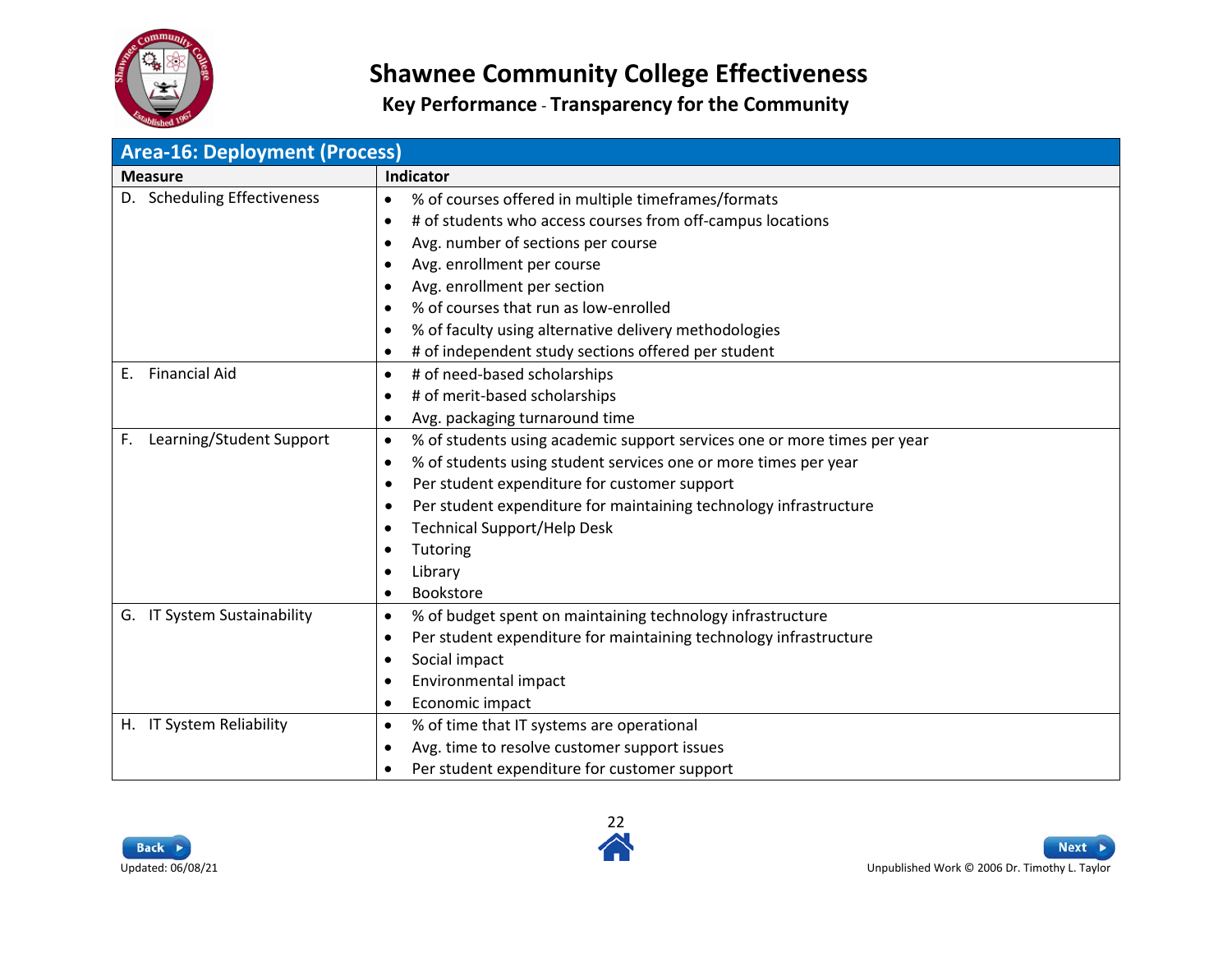

| <b>Area-16: Deployment (Process)</b> |                                                                                       |  |
|--------------------------------------|---------------------------------------------------------------------------------------|--|
| <b>Measure</b>                       | Indicator                                                                             |  |
| D. Scheduling Effectiveness          | % of courses offered in multiple timeframes/formats<br>$\bullet$                      |  |
|                                      | # of students who access courses from off-campus locations<br>$\bullet$               |  |
|                                      | Avg. number of sections per course<br>٠                                               |  |
|                                      | Avg. enrollment per course<br>$\bullet$                                               |  |
|                                      | Avg. enrollment per section<br>$\bullet$                                              |  |
|                                      | % of courses that run as low-enrolled<br>$\bullet$                                    |  |
|                                      | % of faculty using alternative delivery methodologies<br>$\bullet$                    |  |
|                                      | # of independent study sections offered per student<br>$\bullet$                      |  |
| <b>Financial Aid</b><br>Е.           | # of need-based scholarships<br>٠                                                     |  |
|                                      | # of merit-based scholarships<br>$\bullet$                                            |  |
|                                      | Avg. packaging turnaround time<br>$\bullet$                                           |  |
| Learning/Student Support<br>F.       | % of students using academic support services one or more times per year<br>$\bullet$ |  |
|                                      | % of students using student services one or more times per year<br>$\bullet$          |  |
|                                      | Per student expenditure for customer support<br>$\bullet$                             |  |
|                                      | Per student expenditure for maintaining technology infrastructure<br>$\bullet$        |  |
|                                      | <b>Technical Support/Help Desk</b><br>$\bullet$                                       |  |
|                                      | Tutoring<br>٠                                                                         |  |
|                                      | Library<br>$\bullet$                                                                  |  |
|                                      | <b>Bookstore</b><br>$\bullet$                                                         |  |
| G. IT System Sustainability          | % of budget spent on maintaining technology infrastructure<br>٠                       |  |
|                                      | Per student expenditure for maintaining technology infrastructure<br>٠                |  |
|                                      | Social impact<br>$\bullet$                                                            |  |
|                                      | Environmental impact<br>$\bullet$                                                     |  |
|                                      | Economic impact<br>$\bullet$                                                          |  |
| <b>IT System Reliability</b><br>H.   | % of time that IT systems are operational<br>٠                                        |  |
|                                      | Avg. time to resolve customer support issues<br>$\bullet$                             |  |
|                                      | Per student expenditure for customer support<br>$\bullet$                             |  |



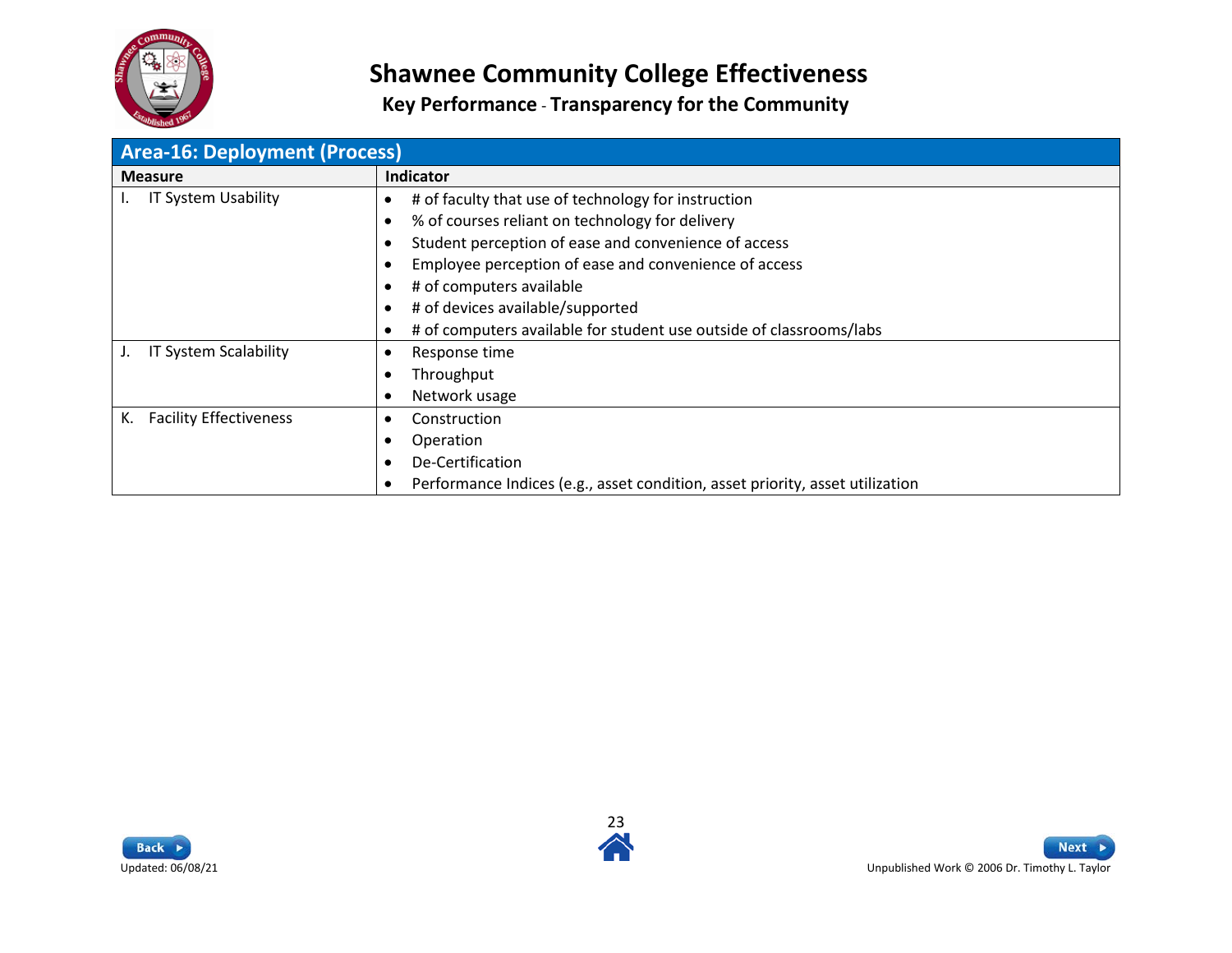

| <b>Area-16: Deployment (Process)</b> |                                                                                  |
|--------------------------------------|----------------------------------------------------------------------------------|
| <b>Measure</b>                       | Indicator                                                                        |
| IT System Usability                  | # of faculty that use of technology for instruction<br>$\bullet$                 |
|                                      | % of courses reliant on technology for delivery<br>$\bullet$                     |
|                                      | Student perception of ease and convenience of access<br>$\bullet$                |
|                                      | Employee perception of ease and convenience of access                            |
|                                      | # of computers available                                                         |
|                                      | # of devices available/supported                                                 |
|                                      | # of computers available for student use outside of classrooms/labs<br>$\bullet$ |
| IT System Scalability<br>J.          | Response time<br>$\bullet$                                                       |
|                                      | Throughput<br>$\bullet$                                                          |
|                                      | Network usage<br>$\bullet$                                                       |
| <b>Facility Effectiveness</b><br>К.  | Construction<br>٠                                                                |
|                                      | Operation                                                                        |
|                                      | De-Certification<br>$\bullet$                                                    |
|                                      | Performance Indices (e.g., asset condition, asset priority, asset utilization    |



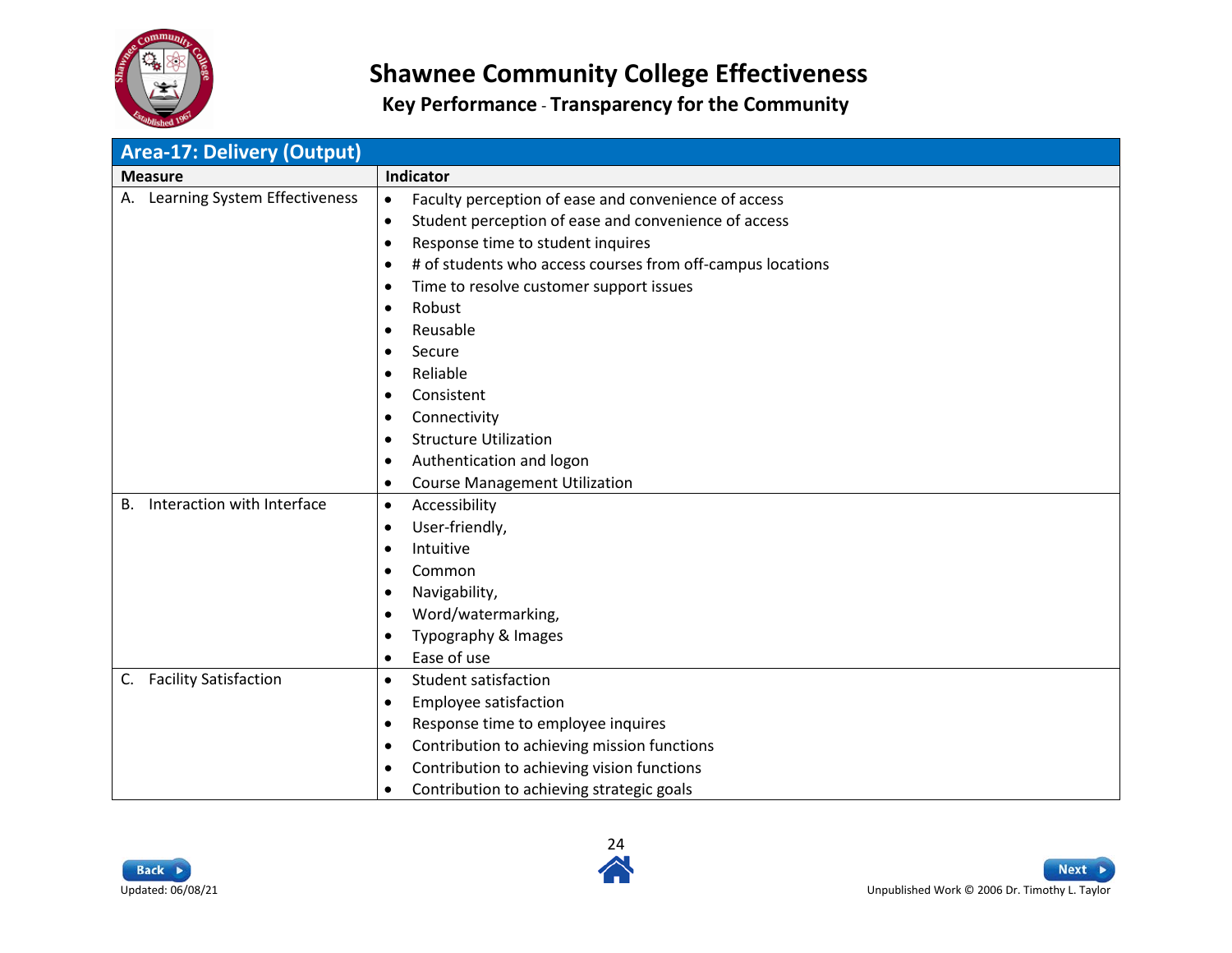

<span id="page-23-0"></span>

| <b>Area-17: Delivery (Output)</b>   |                                                                                                                                                                                                                                                                                                                                                                                                                                                                                                                                  |
|-------------------------------------|----------------------------------------------------------------------------------------------------------------------------------------------------------------------------------------------------------------------------------------------------------------------------------------------------------------------------------------------------------------------------------------------------------------------------------------------------------------------------------------------------------------------------------|
| <b>Measure</b>                      | Indicator                                                                                                                                                                                                                                                                                                                                                                                                                                                                                                                        |
| Learning System Effectiveness<br>А. | Faculty perception of ease and convenience of access<br>$\bullet$<br>Student perception of ease and convenience of access<br>$\bullet$<br>Response time to student inquires<br>$\bullet$<br># of students who access courses from off-campus locations<br>$\bullet$<br>Time to resolve customer support issues<br>$\bullet$<br>Robust<br>$\bullet$<br>Reusable<br>$\bullet$<br>Secure<br>$\bullet$<br>Reliable<br>$\bullet$<br>Consistent<br>$\bullet$<br>Connectivity<br>$\bullet$<br><b>Structure Utilization</b><br>$\bullet$ |
| Interaction with Interface<br>B.    | Authentication and logon<br>$\bullet$<br><b>Course Management Utilization</b><br>$\bullet$                                                                                                                                                                                                                                                                                                                                                                                                                                       |
|                                     | Accessibility<br>$\bullet$<br>User-friendly,<br>$\bullet$<br>Intuitive<br>$\bullet$<br>Common<br>$\bullet$<br>Navigability,<br>$\bullet$<br>Word/watermarking,<br>$\bullet$<br>Typography & Images<br>$\bullet$<br>Ease of use<br>$\bullet$                                                                                                                                                                                                                                                                                      |
| <b>Facility Satisfaction</b><br>C.  | <b>Student satisfaction</b><br>$\bullet$<br>Employee satisfaction<br>$\bullet$<br>Response time to employee inquires<br>$\bullet$<br>Contribution to achieving mission functions<br>$\bullet$<br>Contribution to achieving vision functions<br>$\bullet$<br>Contribution to achieving strategic goals<br>$\bullet$                                                                                                                                                                                                               |



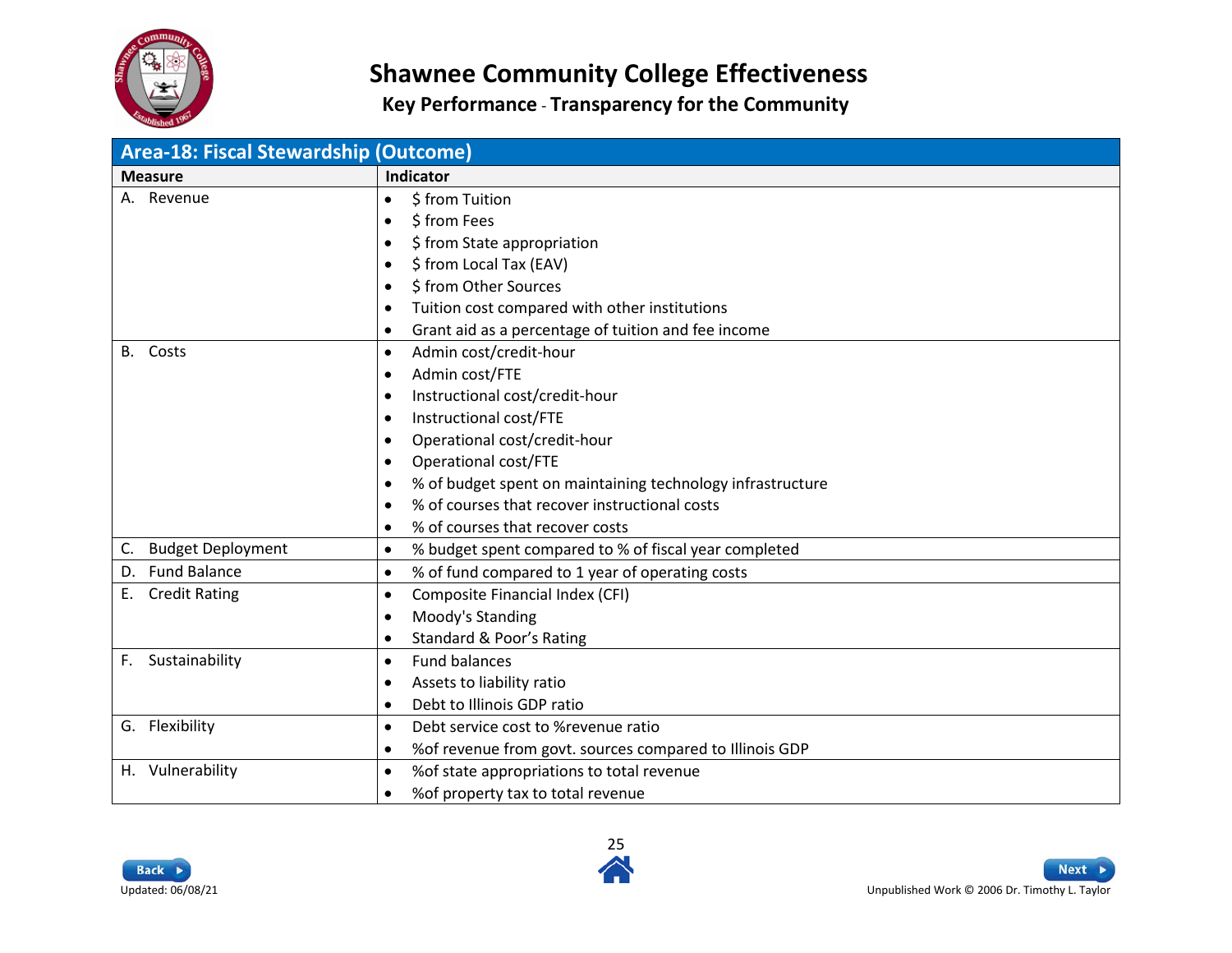

<span id="page-24-0"></span>

| Area-18: Fiscal Stewardship (Outcome) |                                                                         |
|---------------------------------------|-------------------------------------------------------------------------|
| <b>Measure</b>                        | Indicator                                                               |
| A. Revenue                            | \$ from Tuition<br>$\bullet$                                            |
|                                       | \$ from Fees<br>$\bullet$                                               |
|                                       | \$ from State appropriation<br>$\bullet$                                |
|                                       | \$ from Local Tax (EAV)<br>$\bullet$                                    |
|                                       | \$ from Other Sources<br>$\bullet$                                      |
|                                       | Tuition cost compared with other institutions<br>$\bullet$              |
|                                       | Grant aid as a percentage of tuition and fee income<br>$\bullet$        |
| Costs<br><b>B.</b>                    | Admin cost/credit-hour<br>$\bullet$                                     |
|                                       | Admin cost/FTE<br>$\bullet$                                             |
|                                       | Instructional cost/credit-hour<br>$\bullet$                             |
|                                       | Instructional cost/FTE<br>$\bullet$                                     |
|                                       | Operational cost/credit-hour<br>$\bullet$                               |
|                                       | Operational cost/FTE<br>$\bullet$                                       |
|                                       | % of budget spent on maintaining technology infrastructure<br>$\bullet$ |
|                                       | % of courses that recover instructional costs<br>$\bullet$              |
|                                       | % of courses that recover costs<br>$\bullet$                            |
| C. Budget Deployment                  | % budget spent compared to % of fiscal year completed<br>$\bullet$      |
| D. Fund Balance                       | % of fund compared to 1 year of operating costs<br>$\bullet$            |
| <b>Credit Rating</b><br>E.,           | Composite Financial Index (CFI)<br>$\bullet$                            |
|                                       | Moody's Standing<br>$\bullet$                                           |
|                                       | Standard & Poor's Rating<br>$\bullet$                                   |
| Sustainability<br>F.                  | <b>Fund balances</b><br>$\bullet$                                       |
|                                       | Assets to liability ratio<br>$\bullet$                                  |
|                                       | Debt to Illinois GDP ratio<br>$\bullet$                                 |
| G. Flexibility                        | Debt service cost to %revenue ratio<br>$\bullet$                        |
|                                       | % of revenue from govt. sources compared to Illinois GDP<br>$\bullet$   |
| H. Vulnerability                      | % of state appropriations to total revenue<br>$\bullet$                 |
|                                       | % of property tax to total revenue<br>$\bullet$                         |